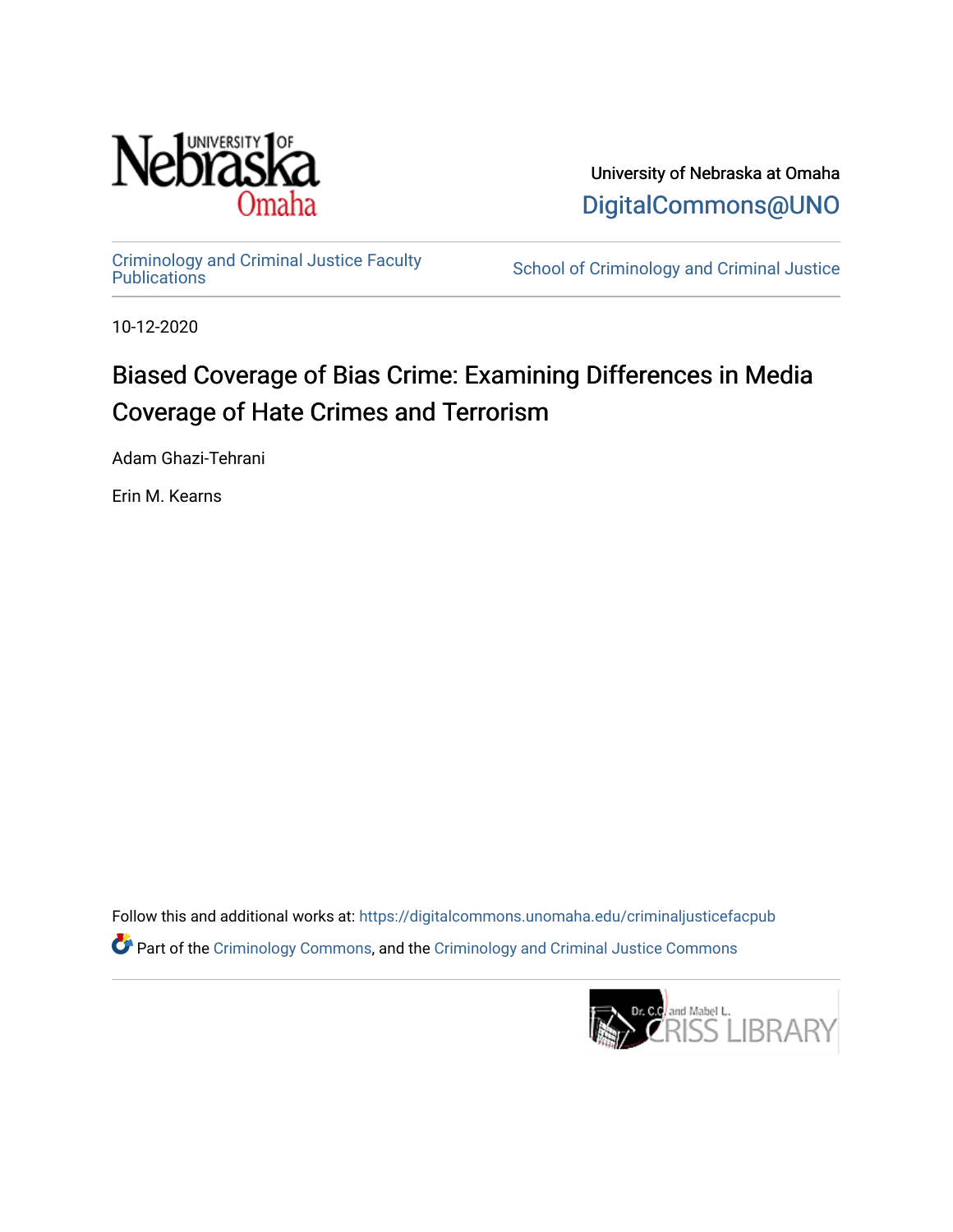

University of Nebraska at Omaha [DigitalCommons@UNO](https://digitalcommons.unomaha.edu/) 

[Criminology and Criminal Justice Faculty](https://digitalcommons.unomaha.edu/criminaljusticefacpub)

School of Criminology and Criminal Justice

10-12-2020

## Biased Coverage of Bias Crime: Examining Differences in Media Coverage of Hate Crimes and Terrorism

Adam Ghazi-Tehrani

Erin M. Kearns

Follow this and additional works at: [https://digitalcommons.unomaha.edu/criminaljusticefacpub](https://digitalcommons.unomaha.edu/criminaljusticefacpub?utm_source=digitalcommons.unomaha.edu%2Fcriminaljusticefacpub%2F111&utm_medium=PDF&utm_campaign=PDFCoverPages)  Part of the [Criminology Commons](https://network.bepress.com/hgg/discipline/417?utm_source=digitalcommons.unomaha.edu%2Fcriminaljusticefacpub%2F111&utm_medium=PDF&utm_campaign=PDFCoverPages), and the [Criminology and Criminal Justice Commons](https://network.bepress.com/hgg/discipline/367?utm_source=digitalcommons.unomaha.edu%2Fcriminaljusticefacpub%2F111&utm_medium=PDF&utm_campaign=PDFCoverPages)

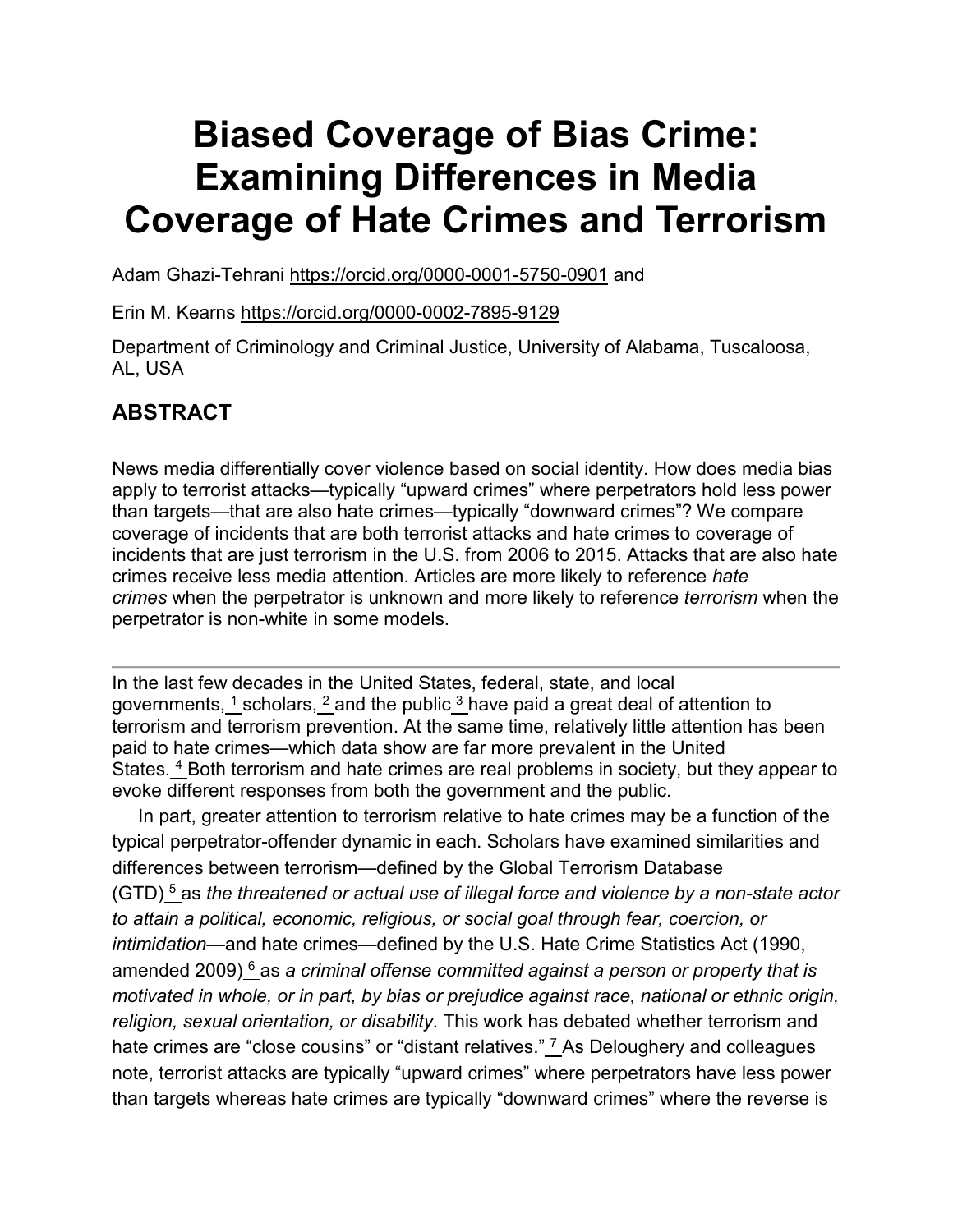# **Biased Coverage of Bias Crime: Examining Differences in Media Coverage of Hate Crimes and Terrorism**

Adam Ghazi-Tehrani <https://orcid.org/0000-0001-5750-0901> and

Erin M. Kearns <https://orcid.org/0000-0002-7895-9129>

Department of Criminology and Criminal Justice, University of Alabama, Tuscaloosa, AL, USA

## **ABSTRACT**

News media differentially cover violence based on social identity. How does media bias apply to terrorist attacks—typically "upward crimes" where perpetrators hold less power than targets—that are also hate crimes—typically "downward crimes"? We compare coverage of incidents that are both terrorist attacks and hate crimes to coverage of incidents that are just terrorism in the U.S. from 2006 to 2015. Attacks that are also hate crimes receive less media attention. Articles are more likely to reference *hate crimes* when the perpetrator is unknown and more likely to reference *terrorism* when the perpetrator is non-white in some models.

In the last few decades in the United States, federal, state, and local governments,  $\frac{1}{1}$  $\frac{1}{1}$  $\frac{1}{1}$ scholars,  $\frac{2}{1}$  $\frac{2}{1}$  $\frac{2}{1}$ and the public $\frac{3}{1}$  $\frac{3}{1}$  $\frac{3}{1}$ have paid a great deal of attention to terrorism and terrorism prevention. At the same time, relatively little attention has been paid to hate crimes—which data show are far more prevalent in the United States. [4](https://www.tandfonline.com/reader/content/180b52869c4/10.1080/1057610X.2020.1830573/format/epub/EPUB/xhtml/index.xhtml#EN0004) Both terrorism and hate crimes are real problems in society, but they appear to evoke different responses from both the government and the public.

In part, greater attention to terrorism relative to hate crimes may be a function of the typical perpetrator-offender dynamic in each. Scholars have examined similarities and differences between terrorism—defined by the Global Terrorism Database (GTD) [5](https://www.tandfonline.com/reader/content/180b52869c4/10.1080/1057610X.2020.1830573/format/epub/EPUB/xhtml/index.xhtml#EN0005) as *the threatened or actual use of illegal force and violence by a non-state actor to attain a political, economic, religious, or social goal through fear, coercion, or intimidation*—and hate crimes—defined by the U.S. Hate Crime Statistics Act (1990, amended 2009) [6](https://www.tandfonline.com/reader/content/180b52869c4/10.1080/1057610X.2020.1830573/format/epub/EPUB/xhtml/index.xhtml#EN0006) as *a criminal offense committed against a person or property that is motivated in whole, or in part, by bias or prejudice against race, national or ethnic origin, religion, sexual orientation, or disability.* This work has debated whether terrorism and hate crimes are "close cousins" or "distant relatives." <sup>[7](https://www.tandfonline.com/reader/content/180b52869c4/10.1080/1057610X.2020.1830573/format/epub/EPUB/xhtml/index.xhtml#EN0007)</sup> As Deloughery and colleagues note, terrorist attacks are typically "upward crimes" where perpetrators have less power than targets whereas hate crimes are typically "downward crimes" where the reverse is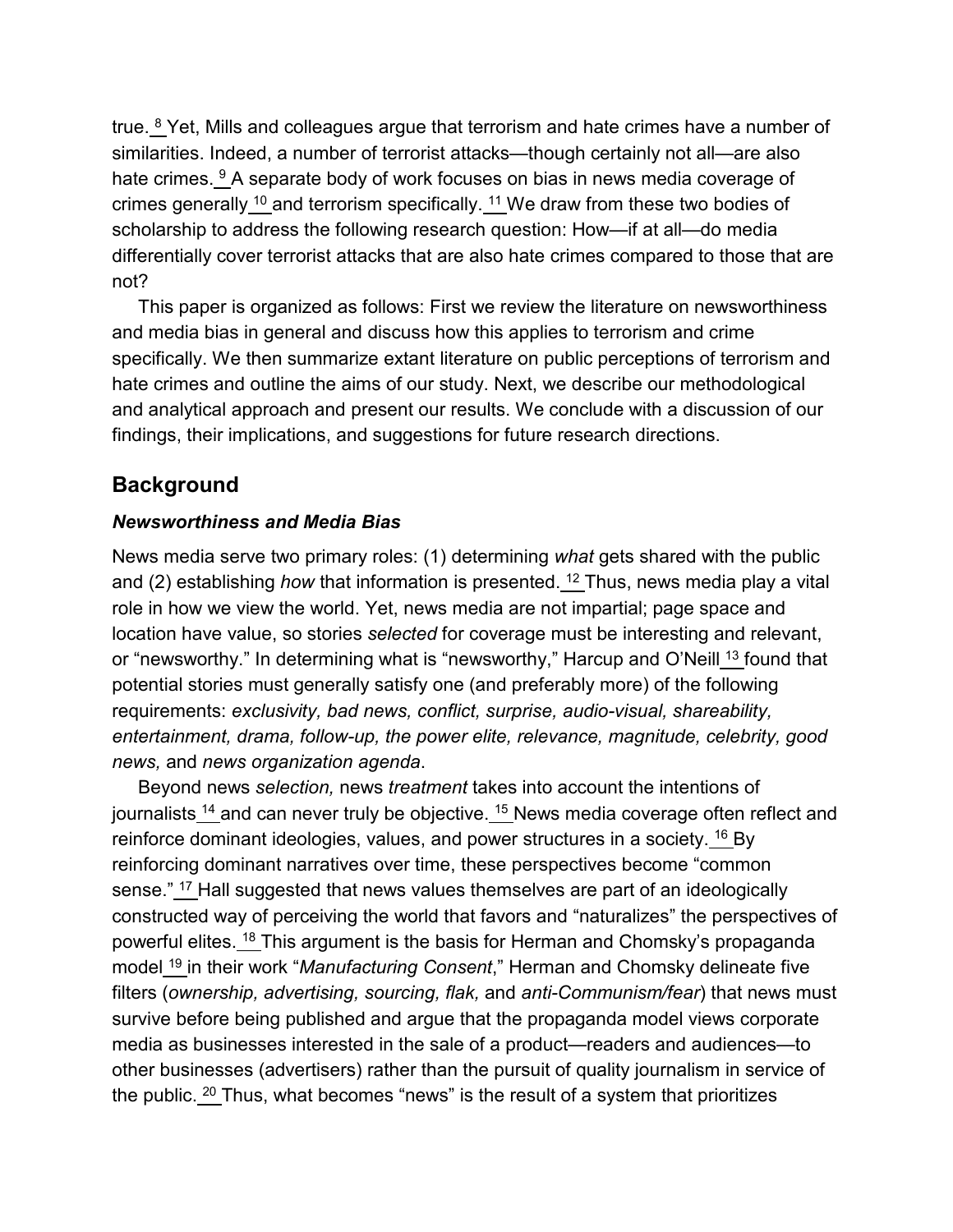true.  $8$  Yet, Mills and colleagues argue that terrorism and hate crimes have a number of similarities. Indeed, a number of terrorist attacks—though certainly not all—are also hate crimes. <sup>[9](https://www.tandfonline.com/reader/content/180b52869c4/10.1080/1057610X.2020.1830573/format/epub/EPUB/xhtml/index.xhtml#EN0009)</sup> A separate body of work focuses on bias in news media coverage of crimes generally  $10$  and terrorism specifically.  $11$  We draw from these two bodies of scholarship to address the following research question: How—if at all—do media differentially cover terrorist attacks that are also hate crimes compared to those that are not?

This paper is organized as follows: First we review the literature on newsworthiness and media bias in general and discuss how this applies to terrorism and crime specifically. We then summarize extant literature on public perceptions of terrorism and hate crimes and outline the aims of our study. Next, we describe our methodological and analytical approach and present our results. We conclude with a discussion of our findings, their implications, and suggestions for future research directions.

#### **Background**

#### *Newsworthiness and Media Bias*

News media serve two primary roles: (1) determining *what* gets shared with the public and (2) establishing *how* that information is presented. [12](https://www.tandfonline.com/reader/content/180b52869c4/10.1080/1057610X.2020.1830573/format/epub/EPUB/xhtml/index.xhtml#EN0012) Thus, news media play a vital role in how we view the world. Yet, news media are not impartial; page space and location have value, so stories *selected* for coverage must be interesting and relevant, or "newsworthy." In determining what is "newsworthy," Harcup and O'Neill [13](https://www.tandfonline.com/reader/content/180b52869c4/10.1080/1057610X.2020.1830573/format/epub/EPUB/xhtml/index.xhtml#EN0013) found that potential stories must generally satisfy one (and preferably more) of the following requirements: *exclusivity, bad news, conflict, surprise, audio-visual, shareability, entertainment, drama, follow-up, the power elite, relevance, magnitude, celebrity, good news,* and *news organization agenda*.

Beyond news *selection,* news *treatment* takes into account the intentions of journalists <sup>[14](https://www.tandfonline.com/reader/content/180b52869c4/10.1080/1057610X.2020.1830573/format/epub/EPUB/xhtml/index.xhtml#EN0014)</sup> and can never truly be objective. <sup>[15](https://www.tandfonline.com/reader/content/180b52869c4/10.1080/1057610X.2020.1830573/format/epub/EPUB/xhtml/index.xhtml#EN0015)</sup> News media coverage often reflect and reinforce dominant ideologies, values, and power structures in a society. <sup>[16](https://www.tandfonline.com/reader/content/180b52869c4/10.1080/1057610X.2020.1830573/format/epub/EPUB/xhtml/index.xhtml#EN0016)</sup> By reinforcing dominant narratives over time, these perspectives become "common sense." <sup>[17](https://www.tandfonline.com/reader/content/180b52869c4/10.1080/1057610X.2020.1830573/format/epub/EPUB/xhtml/index.xhtml#EN0017)</sup> Hall suggested that news values themselves are part of an ideologically constructed way of perceiving the world that favors and "naturalizes" the perspectives of powerful elites. [18](https://www.tandfonline.com/reader/content/180b52869c4/10.1080/1057610X.2020.1830573/format/epub/EPUB/xhtml/index.xhtml#EN0018) This argument is the basis for Herman and Chomsky's propaganda model [19](https://www.tandfonline.com/reader/content/180b52869c4/10.1080/1057610X.2020.1830573/format/epub/EPUB/xhtml/index.xhtml#EN0019) in their work "*Manufacturing Consent*," Herman and Chomsky delineate five filters (*ownership, advertising, sourcing, flak,* and *anti-Communism/fear*) that news must survive before being published and argue that the propaganda model views corporate media as businesses interested in the sale of a product—readers and audiences—to other businesses (advertisers) rather than the pursuit of quality journalism in service of the public. [20](https://www.tandfonline.com/reader/content/180b52869c4/10.1080/1057610X.2020.1830573/format/epub/EPUB/xhtml/index.xhtml#EN0020) Thus, what becomes "news" is the result of a system that prioritizes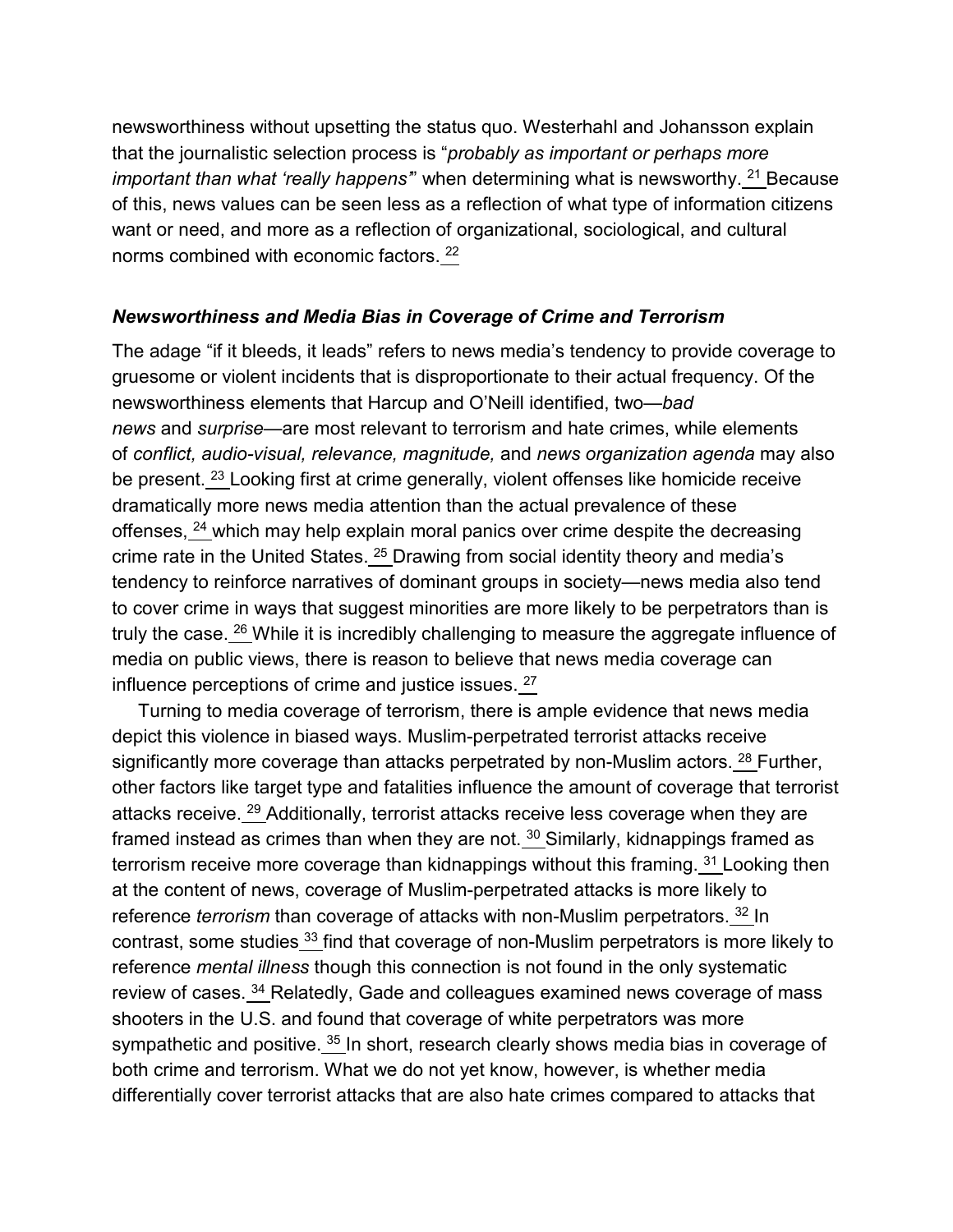newsworthiness without upsetting the status quo. Westerhahl and Johansson explain that the journalistic selection process is "*probably as important or perhaps more important than what 'really happens*" when determining what is newsworthy. <sup>[21](https://www.tandfonline.com/reader/content/180b52869c4/10.1080/1057610X.2020.1830573/format/epub/EPUB/xhtml/index.xhtml#EN0021)</sup> Because of this, news values can be seen less as a reflection of what type of information citizens want or need, and more as a reflection of organizational, sociological, and cultural norms combined with economic factors. [22](https://www.tandfonline.com/reader/content/180b52869c4/10.1080/1057610X.2020.1830573/format/epub/EPUB/xhtml/index.xhtml#EN0022)

#### *Newsworthiness and Media Bias in Coverage of Crime and Terrorism*

The adage "if it bleeds, it leads" refers to news media's tendency to provide coverage to gruesome or violent incidents that is disproportionate to their actual frequency. Of the newsworthiness elements that Harcup and O'Neill identified, two—*bad news* and *surprise*—are most relevant to terrorism and hate crimes, while elements of *conflict, audio-visual, relevance, magnitude,* and *news organization agenda* may also be present. <sup>[23](https://www.tandfonline.com/reader/content/180b52869c4/10.1080/1057610X.2020.1830573/format/epub/EPUB/xhtml/index.xhtml#EN0023)</sup> Looking first at crime generally, violent offenses like homicide receive dramatically more news media attention than the actual prevalence of these offenses, [24](https://www.tandfonline.com/reader/content/180b52869c4/10.1080/1057610X.2020.1830573/format/epub/EPUB/xhtml/index.xhtml#EN0024) which may help explain moral panics over crime despite the decreasing crime rate in the United States. [25](https://www.tandfonline.com/reader/content/180b52869c4/10.1080/1057610X.2020.1830573/format/epub/EPUB/xhtml/index.xhtml#EN0025) Drawing from social identity theory and media's tendency to reinforce narratives of dominant groups in society—news media also tend to cover crime in ways that suggest minorities are more likely to be perpetrators than is truly the case.<sup>[26](https://www.tandfonline.com/reader/content/180b52869c4/10.1080/1057610X.2020.1830573/format/epub/EPUB/xhtml/index.xhtml#EN0026)</sup> While it is incredibly challenging to measure the aggregate influence of media on public views, there is reason to believe that news media coverage can influence perceptions of crime and justice issues.<sup>[27](https://www.tandfonline.com/reader/content/180b52869c4/10.1080/1057610X.2020.1830573/format/epub/EPUB/xhtml/index.xhtml#EN0027)</sup>

Turning to media coverage of terrorism, there is ample evidence that news media depict this violence in biased ways. Muslim-perpetrated terrorist attacks receive significantly more coverage than attacks perpetrated by non-Muslim actors. <sup>[28](https://www.tandfonline.com/reader/content/180b52869c4/10.1080/1057610X.2020.1830573/format/epub/EPUB/xhtml/index.xhtml#EN0028)</sup> Further, other factors like target type and fatalities influence the amount of coverage that terrorist attacks receive. [29](https://www.tandfonline.com/reader/content/180b52869c4/10.1080/1057610X.2020.1830573/format/epub/EPUB/xhtml/index.xhtml#EN0029) Additionally, terrorist attacks receive less coverage when they are framed instead as crimes than when they are not. [30](https://www.tandfonline.com/reader/content/180b52869c4/10.1080/1057610X.2020.1830573/format/epub/EPUB/xhtml/index.xhtml#EN0030) Similarly, kidnappings framed as terrorism receive more coverage than kidnappings without this framing. <sup>[31](https://www.tandfonline.com/reader/content/180b52869c4/10.1080/1057610X.2020.1830573/format/epub/EPUB/xhtml/index.xhtml#EN0031)</sup> Looking then at the content of news, coverage of Muslim-perpetrated attacks is more likely to reference *terrorism* than coverage of attacks with non-Muslim perpetrators. [32](https://www.tandfonline.com/reader/content/180b52869c4/10.1080/1057610X.2020.1830573/format/epub/EPUB/xhtml/index.xhtml#EN0032) In contrast, some studies [33](https://www.tandfonline.com/reader/content/180b52869c4/10.1080/1057610X.2020.1830573/format/epub/EPUB/xhtml/index.xhtml#EN0033) find that coverage of non-Muslim perpetrators is more likely to reference *mental illness* though this connection is not found in the only systematic review of cases. [34](https://www.tandfonline.com/reader/content/180b52869c4/10.1080/1057610X.2020.1830573/format/epub/EPUB/xhtml/index.xhtml#EN0034) Relatedly, Gade and colleagues examined news coverage of mass shooters in the U.S. and found that coverage of white perpetrators was more sympathetic and positive. <sup>[35](https://www.tandfonline.com/reader/content/180b52869c4/10.1080/1057610X.2020.1830573/format/epub/EPUB/xhtml/index.xhtml#EN0035)</sup> In short, research clearly shows media bias in coverage of both crime and terrorism. What we do not yet know, however, is whether media differentially cover terrorist attacks that are also hate crimes compared to attacks that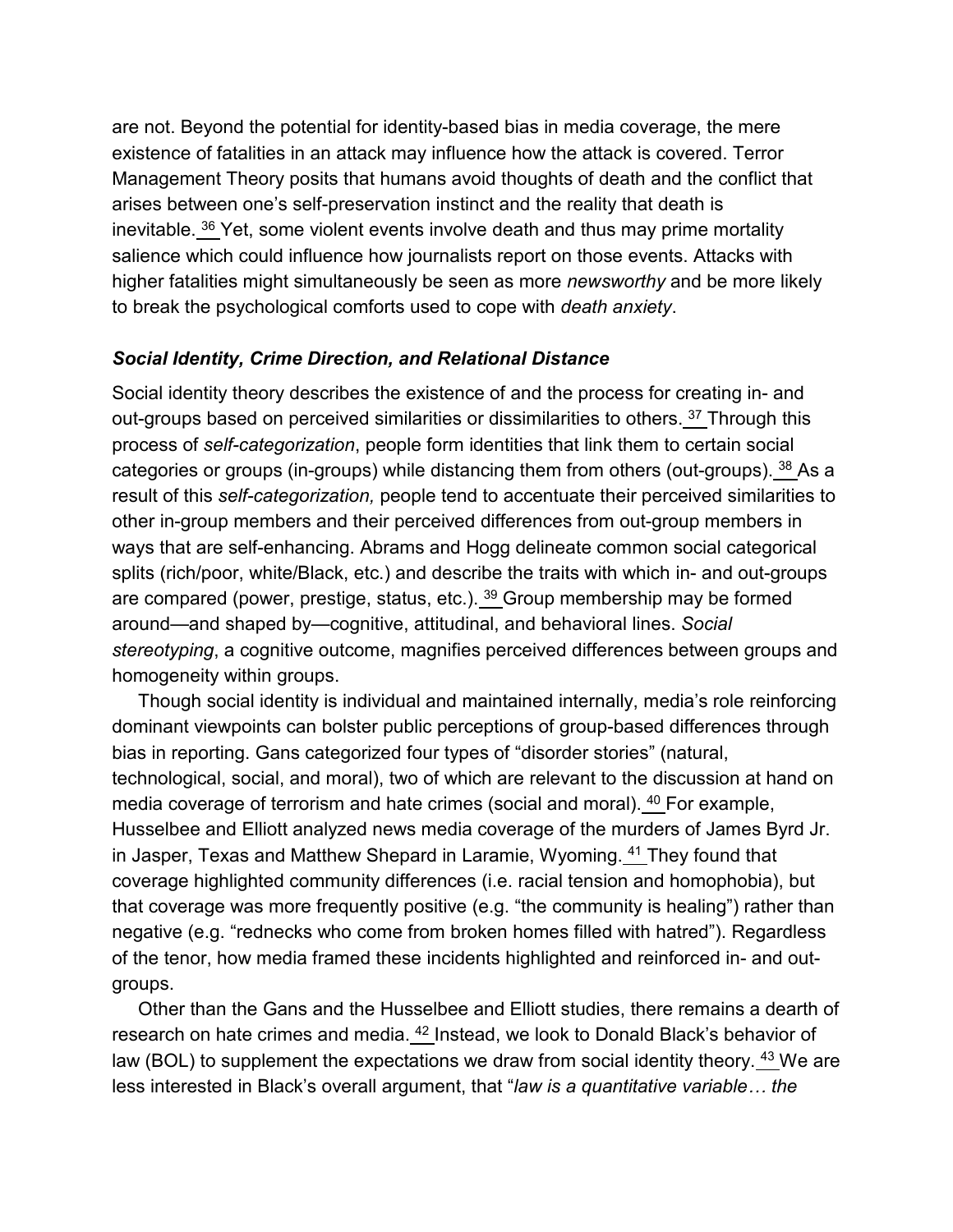are not. Beyond the potential for identity-based bias in media coverage, the mere existence of fatalities in an attack may influence how the attack is covered. Terror Management Theory posits that humans avoid thoughts of death and the conflict that arises between one's self-preservation instinct and the reality that death is inevitable. <sup>[36](https://www.tandfonline.com/reader/content/180b52869c4/10.1080/1057610X.2020.1830573/format/epub/EPUB/xhtml/index.xhtml#EN0036)</sup> Yet, some violent events involve death and thus may prime mortality salience which could influence how journalists report on those events. Attacks with higher fatalities might simultaneously be seen as more *newsworthy* and be more likely to break the psychological comforts used to cope with *death anxiety*.

#### *Social Identity, Crime Direction, and Relational Distance*

Social identity theory describes the existence of and the process for creating in- and out-groups based on perceived similarities or dissimilarities to others. <sup>[37](https://www.tandfonline.com/reader/content/180b52869c4/10.1080/1057610X.2020.1830573/format/epub/EPUB/xhtml/index.xhtml#EN0037)</sup> Through this process of *self-categorization*, people form identities that link them to certain social categories or groups (in-groups) while distancing them from others (out-groups). <sup>[38](https://www.tandfonline.com/reader/content/180b52869c4/10.1080/1057610X.2020.1830573/format/epub/EPUB/xhtml/index.xhtml#EN0038)</sup> As a result of this *self-categorization,* people tend to accentuate their perceived similarities to other in-group members and their perceived differences from out-group members in ways that are self-enhancing. Abrams and Hogg delineate common social categorical splits (rich/poor, white/Black, etc.) and describe the traits with which in- and out-groups are compared (power, prestige, status, etc.). [39](https://www.tandfonline.com/reader/content/180b52869c4/10.1080/1057610X.2020.1830573/format/epub/EPUB/xhtml/index.xhtml#EN0039) Group membership may be formed around—and shaped by—cognitive, attitudinal, and behavioral lines. *Social stereotyping*, a cognitive outcome, magnifies perceived differences between groups and homogeneity within groups.

Though social identity is individual and maintained internally, media's role reinforcing dominant viewpoints can bolster public perceptions of group-based differences through bias in reporting. Gans categorized four types of "disorder stories" (natural, technological, social, and moral), two of which are relevant to the discussion at hand on media coverage of terrorism and hate crimes (social and moral). <sup>[40](https://www.tandfonline.com/reader/content/180b52869c4/10.1080/1057610X.2020.1830573/format/epub/EPUB/xhtml/index.xhtml#EN0040)</sup> For example, Husselbee and Elliott analyzed news media coverage of the murders of James Byrd Jr. in Jasper, Texas and Matthew Shepard in Laramie, Wyoming. [41](https://www.tandfonline.com/reader/content/180b52869c4/10.1080/1057610X.2020.1830573/format/epub/EPUB/xhtml/index.xhtml#EN0041) They found that coverage highlighted community differences (i.e. racial tension and homophobia), but that coverage was more frequently positive (e.g. "the community is healing") rather than negative (e.g. "rednecks who come from broken homes filled with hatred"). Regardless of the tenor, how media framed these incidents highlighted and reinforced in- and outgroups.

Other than the Gans and the Husselbee and Elliott studies, there remains a dearth of research on hate crimes and media. [42](https://www.tandfonline.com/reader/content/180b52869c4/10.1080/1057610X.2020.1830573/format/epub/EPUB/xhtml/index.xhtml#EN0042) Instead, we look to Donald Black's behavior of law (BOL) to supplement the expectations we draw from social identity theory. <sup>[43](https://www.tandfonline.com/reader/content/180b52869c4/10.1080/1057610X.2020.1830573/format/epub/EPUB/xhtml/index.xhtml#EN0043)</sup> We are less interested in Black's overall argument, that "*law is a quantitative variable… the*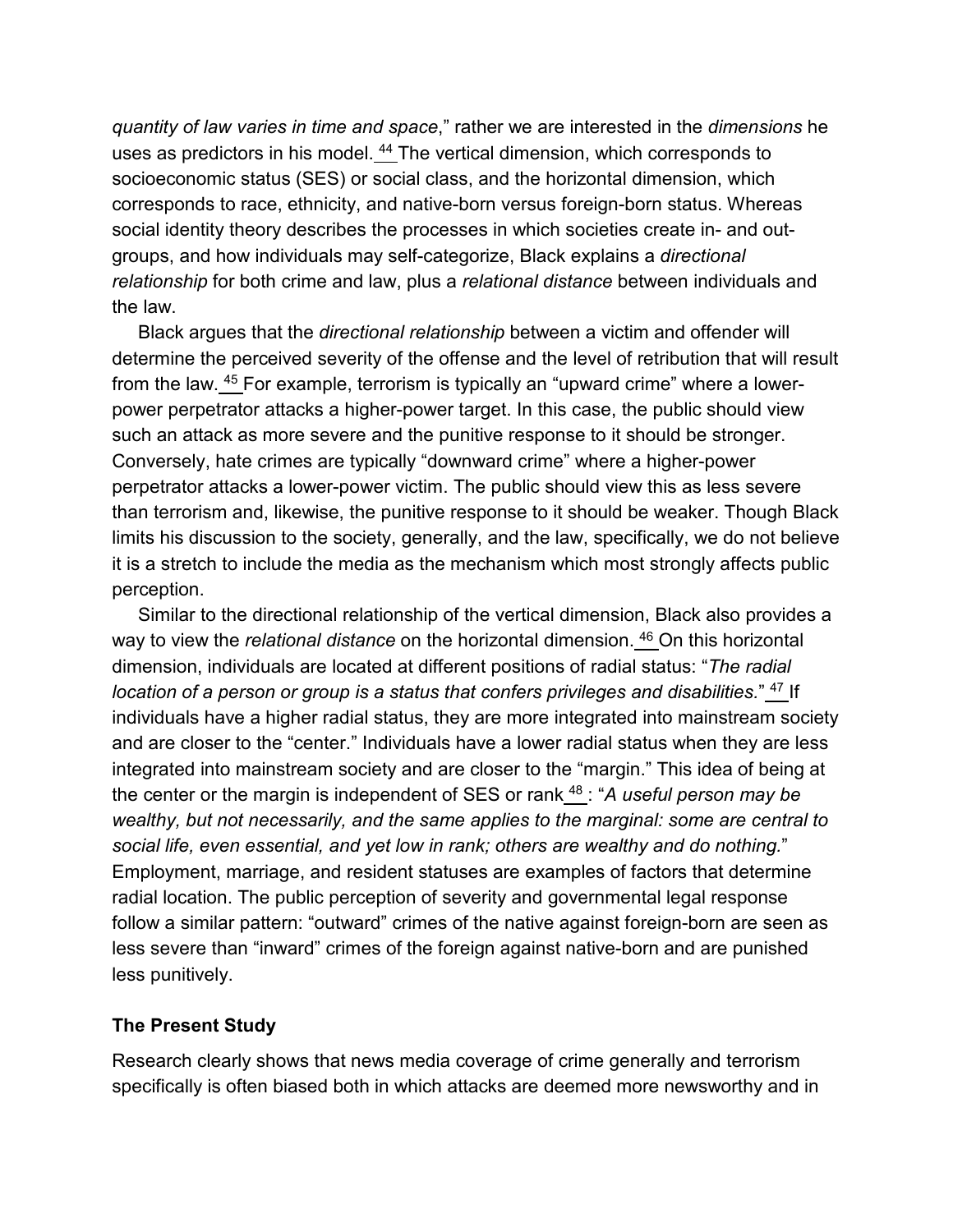*quantity of law varies in time and space*," rather we are interested in the *dimensions* he uses as predictors in his model. <sup>[44](https://www.tandfonline.com/reader/content/180b52869c4/10.1080/1057610X.2020.1830573/format/epub/EPUB/xhtml/index.xhtml#EN0044)</sup> The vertical dimension, which corresponds to socioeconomic status (SES) or social class, and the horizontal dimension, which corresponds to race, ethnicity, and native-born versus foreign-born status. Whereas social identity theory describes the processes in which societies create in- and outgroups, and how individuals may self-categorize, Black explains a *directional relationship* for both crime and law, plus a *relational distance* between individuals and the law.

Black argues that the *directional relationship* between a victim and offender will determine the perceived severity of the offense and the level of retribution that will result from the law. [45](https://www.tandfonline.com/reader/content/180b52869c4/10.1080/1057610X.2020.1830573/format/epub/EPUB/xhtml/index.xhtml#EN0045) For example, terrorism is typically an "upward crime" where a lowerpower perpetrator attacks a higher-power target. In this case, the public should view such an attack as more severe and the punitive response to it should be stronger. Conversely, hate crimes are typically "downward crime" where a higher-power perpetrator attacks a lower-power victim. The public should view this as less severe than terrorism and, likewise, the punitive response to it should be weaker. Though Black limits his discussion to the society, generally, and the law, specifically, we do not believe it is a stretch to include the media as the mechanism which most strongly affects public perception.

Similar to the directional relationship of the vertical dimension, Black also provides a way to view the *relational distance* on the horizontal dimension. [46](https://www.tandfonline.com/reader/content/180b52869c4/10.1080/1057610X.2020.1830573/format/epub/EPUB/xhtml/index.xhtml#EN0046) On this horizontal dimension, individuals are located at different positions of radial status: "*The radial location of a person or group is a status that confers privileges and disabilities."* [47](https://www.tandfonline.com/reader/content/180b52869c4/10.1080/1057610X.2020.1830573/format/epub/EPUB/xhtml/index.xhtml#EN0047) If individuals have a higher radial status, they are more integrated into mainstream society and are closer to the "center." Individuals have a lower radial status when they are less integrated into mainstream society and are closer to the "margin." This idea of being at the center or the margin is independent of SES or rank [48](https://www.tandfonline.com/reader/content/180b52869c4/10.1080/1057610X.2020.1830573/format/epub/EPUB/xhtml/index.xhtml#EN0048) : "*A useful person may be wealthy, but not necessarily, and the same applies to the marginal: some are central to social life, even essential, and yet low in rank; others are wealthy and do nothing.*" Employment, marriage, and resident statuses are examples of factors that determine radial location. The public perception of severity and governmental legal response follow a similar pattern: "outward" crimes of the native against foreign-born are seen as less severe than "inward" crimes of the foreign against native-born and are punished less punitively.

#### **The Present Study**

Research clearly shows that news media coverage of crime generally and terrorism specifically is often biased both in which attacks are deemed more newsworthy and in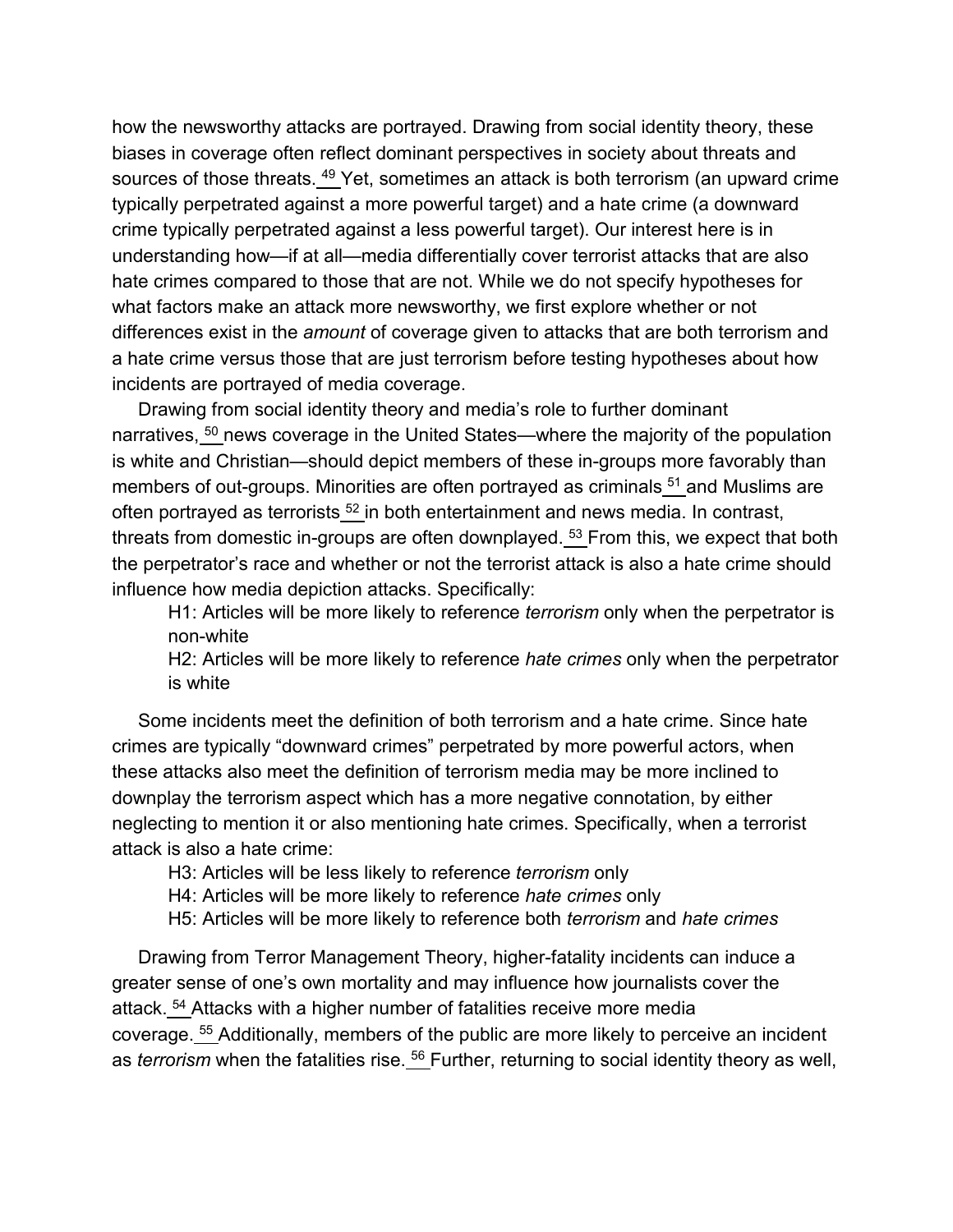how the newsworthy attacks are portrayed. Drawing from social identity theory, these biases in coverage often reflect dominant perspectives in society about threats and sources of those threats.  $49$  Yet, sometimes an attack is both terrorism (an upward crime typically perpetrated against a more powerful target) and a hate crime (a downward crime typically perpetrated against a less powerful target). Our interest here is in understanding how—if at all—media differentially cover terrorist attacks that are also hate crimes compared to those that are not. While we do not specify hypotheses for what factors make an attack more newsworthy, we first explore whether or not differences exist in the *amount* of coverage given to attacks that are both terrorism and a hate crime versus those that are just terrorism before testing hypotheses about how incidents are portrayed of media coverage.

Drawing from social identity theory and media's role to further dominant narratives, <sup>[50](https://www.tandfonline.com/reader/content/180b52869c4/10.1080/1057610X.2020.1830573/format/epub/EPUB/xhtml/index.xhtml#EN0050)</sup> news coverage in the United States—where the majority of the population is white and Christian—should depict members of these in-groups more favorably than members of out-groups. Minorities are often portrayed as criminals <sup>[51](https://www.tandfonline.com/reader/content/180b52869c4/10.1080/1057610X.2020.1830573/format/epub/EPUB/xhtml/index.xhtml#EN0051)</sup> and Muslims are often portrayed as terrorists  $52$  in both entertainment and news media. In contrast, threats from domestic in-groups are often downplayed. <sup>[53](https://www.tandfonline.com/reader/content/180b52869c4/10.1080/1057610X.2020.1830573/format/epub/EPUB/xhtml/index.xhtml#EN0053)</sup> From this, we expect that both the perpetrator's race and whether or not the terrorist attack is also a hate crime should influence how media depiction attacks. Specifically:

H1: Articles will be more likely to reference *terrorism* only when the perpetrator is non-white

H2: Articles will be more likely to reference *hate crimes* only when the perpetrator is white

Some incidents meet the definition of both terrorism and a hate crime. Since hate crimes are typically "downward crimes" perpetrated by more powerful actors, when these attacks also meet the definition of terrorism media may be more inclined to downplay the terrorism aspect which has a more negative connotation, by either neglecting to mention it or also mentioning hate crimes. Specifically, when a terrorist attack is also a hate crime:

H3: Articles will be less likely to reference *terrorism* only

H4: Articles will be more likely to reference *hate crimes* only

H5: Articles will be more likely to reference both *terrorism* and *hate crimes*

Drawing from Terror Management Theory, higher-fatality incidents can induce a greater sense of one's own mortality and may influence how journalists cover the attack. [54](https://www.tandfonline.com/reader/content/180b52869c4/10.1080/1057610X.2020.1830573/format/epub/EPUB/xhtml/index.xhtml#EN0054) Attacks with a higher number of fatalities receive more media coverage. <sup>[55](https://www.tandfonline.com/reader/content/180b52869c4/10.1080/1057610X.2020.1830573/format/epub/EPUB/xhtml/index.xhtml#EN0055)</sup> Additionally, members of the public are more likely to perceive an incident as *terrorism* when the fatalities rise. <sup>[56](https://www.tandfonline.com/reader/content/180b52869c4/10.1080/1057610X.2020.1830573/format/epub/EPUB/xhtml/index.xhtml#EN0056)</sup> Further, returning to social identity theory as well,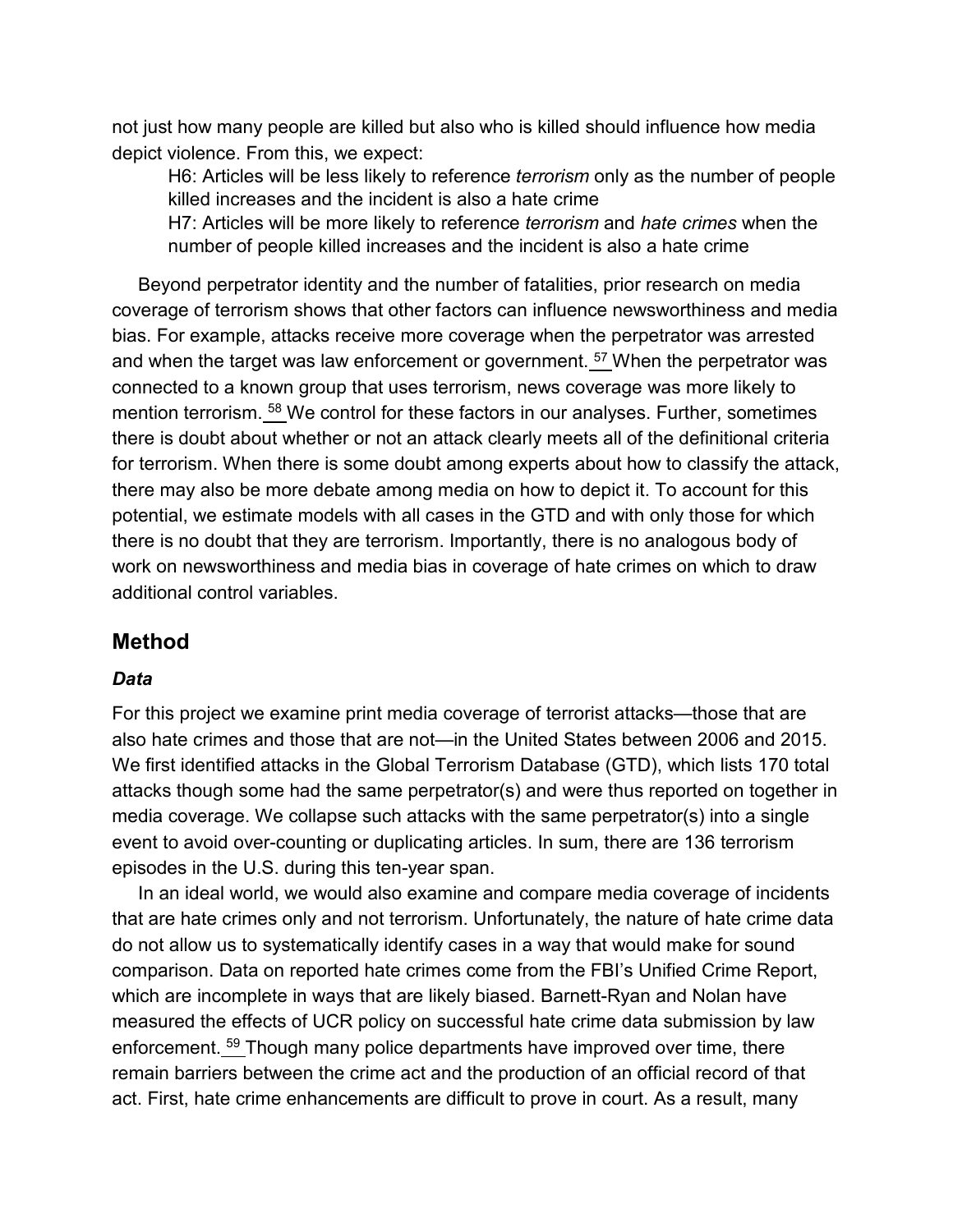not just how many people are killed but also who is killed should influence how media depict violence. From this, we expect:

H6: Articles will be less likely to reference *terrorism* only as the number of people killed increases and the incident is also a hate crime

H7: Articles will be more likely to reference *terrorism* and *hate crimes* when the number of people killed increases and the incident is also a hate crime

Beyond perpetrator identity and the number of fatalities, prior research on media coverage of terrorism shows that other factors can influence newsworthiness and media bias. For example, attacks receive more coverage when the perpetrator was arrested and when the target was law enforcement or government. <sup>[57](https://www.tandfonline.com/reader/content/180b52869c4/10.1080/1057610X.2020.1830573/format/epub/EPUB/xhtml/index.xhtml#EN0057)</sup> When the perpetrator was connected to a known group that uses terrorism, news coverage was more likely to mention terrorism. [58](https://www.tandfonline.com/reader/content/180b52869c4/10.1080/1057610X.2020.1830573/format/epub/EPUB/xhtml/index.xhtml#EN0058) We control for these factors in our analyses. Further, sometimes there is doubt about whether or not an attack clearly meets all of the definitional criteria for terrorism. When there is some doubt among experts about how to classify the attack, there may also be more debate among media on how to depict it. To account for this potential, we estimate models with all cases in the GTD and with only those for which there is no doubt that they are terrorism. Importantly, there is no analogous body of work on newsworthiness and media bias in coverage of hate crimes on which to draw additional control variables.

### **Method**

#### *Data*

For this project we examine print media coverage of terrorist attacks—those that are also hate crimes and those that are not—in the United States between 2006 and 2015. We first identified attacks in the Global Terrorism Database (GTD), which lists 170 total attacks though some had the same perpetrator(s) and were thus reported on together in media coverage. We collapse such attacks with the same perpetrator(s) into a single event to avoid over-counting or duplicating articles. In sum, there are 136 terrorism episodes in the U.S. during this ten-year span.

In an ideal world, we would also examine and compare media coverage of incidents that are hate crimes only and not terrorism. Unfortunately, the nature of hate crime data do not allow us to systematically identify cases in a way that would make for sound comparison. Data on reported hate crimes come from the FBI's Unified Crime Report, which are incomplete in ways that are likely biased. Barnett-Ryan and Nolan have measured the effects of UCR policy on successful hate crime data submission by law enforcement. [59](https://www.tandfonline.com/reader/content/180b52869c4/10.1080/1057610X.2020.1830573/format/epub/EPUB/xhtml/index.xhtml#EN0059) Though many police departments have improved over time, there remain barriers between the crime act and the production of an official record of that act. First, hate crime enhancements are difficult to prove in court. As a result, many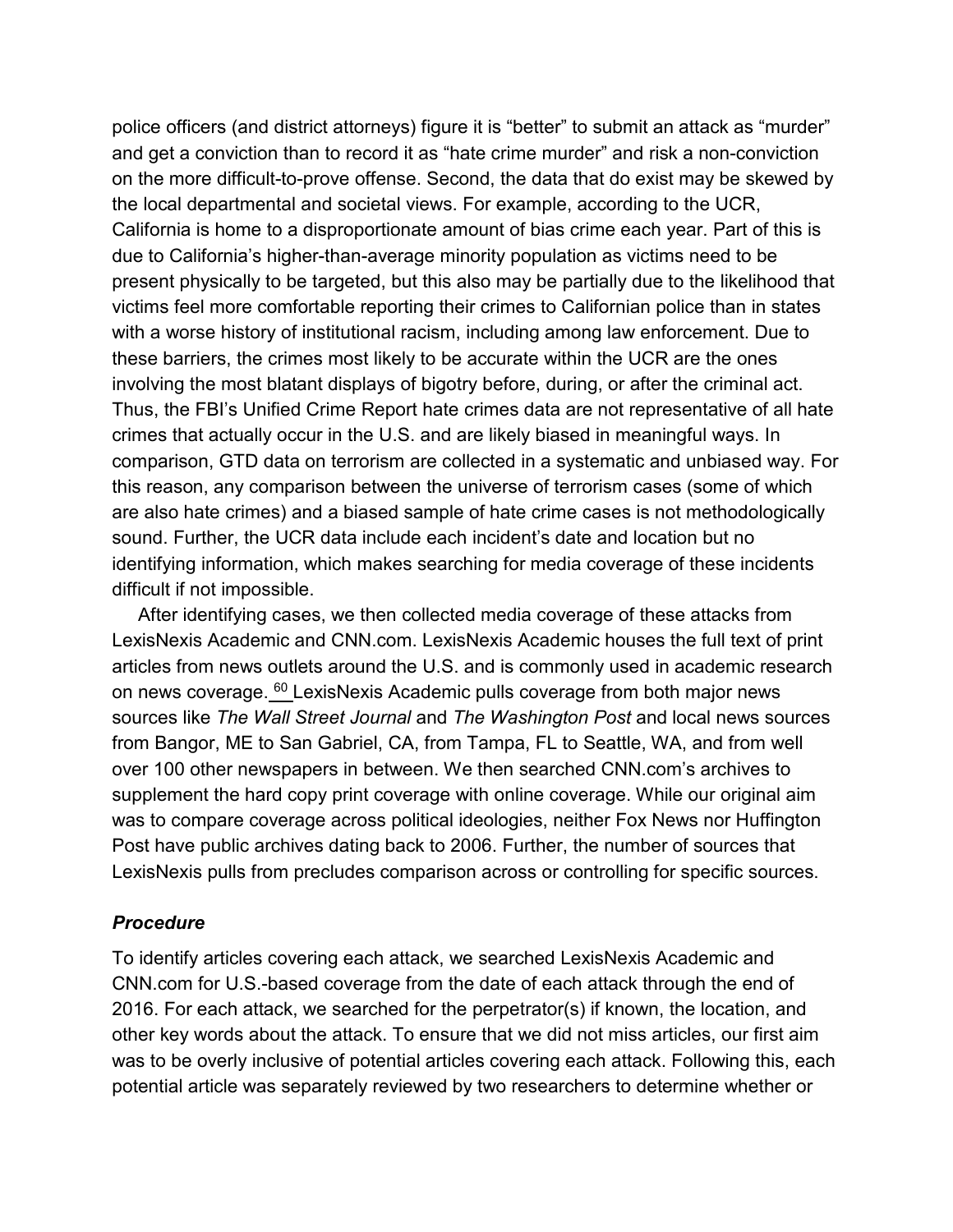police officers (and district attorneys) figure it is "better" to submit an attack as "murder" and get a conviction than to record it as "hate crime murder" and risk a non-conviction on the more difficult-to-prove offense. Second, the data that do exist may be skewed by the local departmental and societal views. For example, according to the UCR, California is home to a disproportionate amount of bias crime each year. Part of this is due to California's higher-than-average minority population as victims need to be present physically to be targeted, but this also may be partially due to the likelihood that victims feel more comfortable reporting their crimes to Californian police than in states with a worse history of institutional racism, including among law enforcement. Due to these barriers, the crimes most likely to be accurate within the UCR are the ones involving the most blatant displays of bigotry before, during, or after the criminal act. Thus, the FBI's Unified Crime Report hate crimes data are not representative of all hate crimes that actually occur in the U.S. and are likely biased in meaningful ways. In comparison, GTD data on terrorism are collected in a systematic and unbiased way. For this reason, any comparison between the universe of terrorism cases (some of which are also hate crimes) and a biased sample of hate crime cases is not methodologically sound. Further, the UCR data include each incident's date and location but no identifying information, which makes searching for media coverage of these incidents difficult if not impossible.

After identifying cases, we then collected media coverage of these attacks from LexisNexis Academic and CNN.com. LexisNexis Academic houses the full text of print articles from news outlets around the U.S. and is commonly used in academic research on news coverage. <sup>[60](https://www.tandfonline.com/reader/content/180b52869c4/10.1080/1057610X.2020.1830573/format/epub/EPUB/xhtml/index.xhtml#EN0060)</sup> LexisNexis Academic pulls coverage from both major news sources like *The Wall Street Journal* and *The Washington Post* and local news sources from Bangor, ME to San Gabriel, CA, from Tampa, FL to Seattle, WA, and from well over 100 other newspapers in between. We then searched CNN.com's archives to supplement the hard copy print coverage with online coverage. While our original aim was to compare coverage across political ideologies, neither Fox News nor Huffington Post have public archives dating back to 2006. Further, the number of sources that LexisNexis pulls from precludes comparison across or controlling for specific sources.

#### *Procedure*

To identify articles covering each attack, we searched LexisNexis Academic and CNN.com for U.S.-based coverage from the date of each attack through the end of 2016. For each attack, we searched for the perpetrator(s) if known, the location, and other key words about the attack. To ensure that we did not miss articles, our first aim was to be overly inclusive of potential articles covering each attack. Following this, each potential article was separately reviewed by two researchers to determine whether or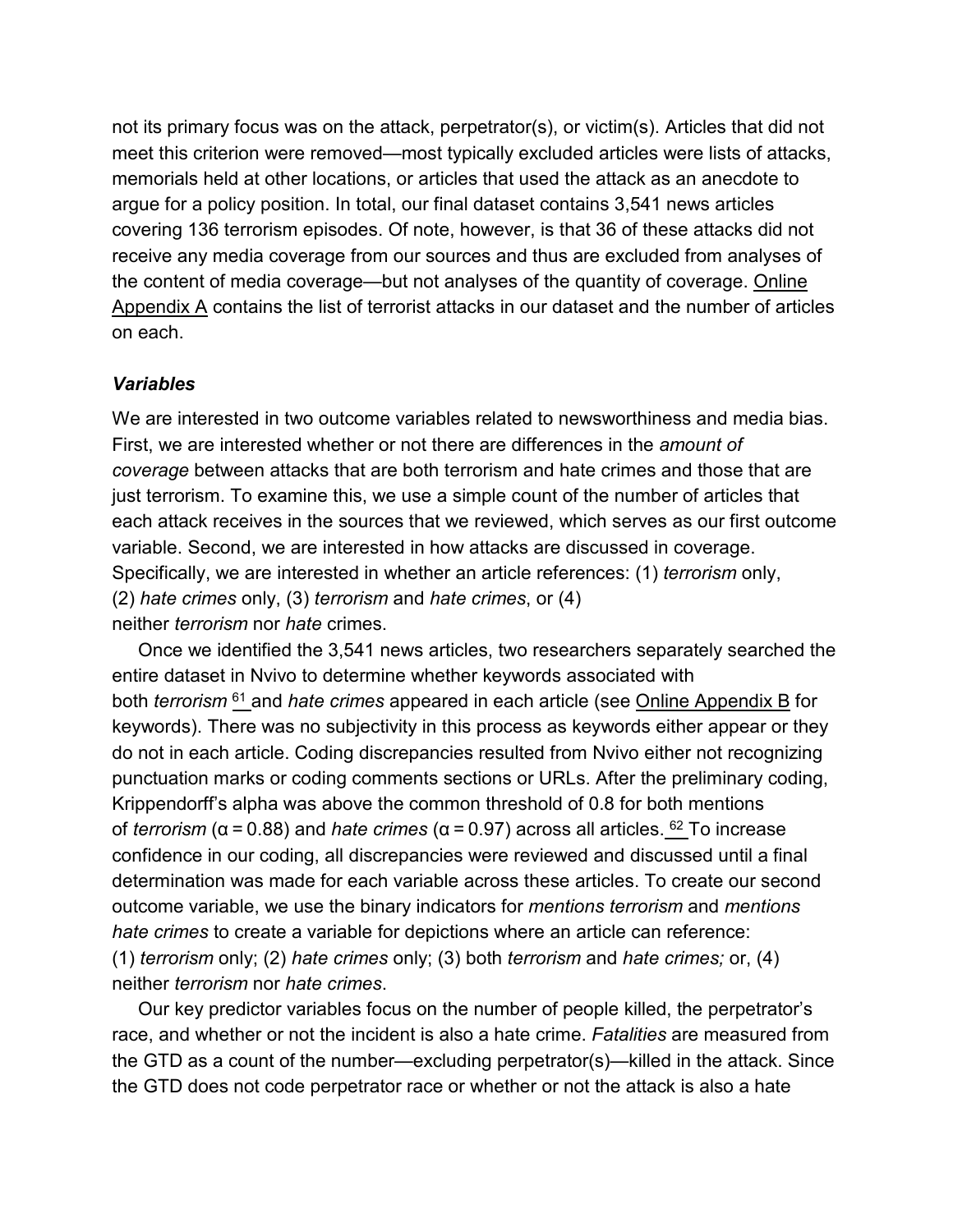not its primary focus was on the attack, perpetrator(s), or victim(s). Articles that did not meet this criterion were removed—most typically excluded articles were lists of attacks, memorials held at other locations, or articles that used the attack as an anecdote to argue for a policy position. In total, our final dataset contains 3,541 news articles covering 136 terrorism episodes. Of note, however, is that 36 of these attacks did not receive any media coverage from our sources and thus are excluded from analyses of the content of media coverage—but not analyses of the quantity of coverage. [Online](https://doi.org/10.1080/1057610X.2020.1830573)  [Appendix A](https://doi.org/10.1080/1057610X.2020.1830573) contains the list of terrorist attacks in our dataset and the number of articles on each.

#### *Variables*

We are interested in two outcome variables related to newsworthiness and media bias. First, we are interested whether or not there are differences in the *amount of coverage* between attacks that are both terrorism and hate crimes and those that are just terrorism. To examine this, we use a simple count of the number of articles that each attack receives in the sources that we reviewed, which serves as our first outcome variable. Second, we are interested in how attacks are discussed in coverage. Specifically, we are interested in whether an article references: (1) *terrorism* only, (2) *hate crimes* only, (3) *terrorism* and *hate crimes*, or (4) neither *terrorism* nor *hate* crimes.

Once we identified the 3,541 news articles, two researchers separately searched the entire dataset in Nvivo to determine whether keywords associated with both *terrorism* [61](https://www.tandfonline.com/reader/content/180b52869c4/10.1080/1057610X.2020.1830573/format/epub/EPUB/xhtml/index.xhtml#EN0061) and *hate crimes* appeared in each article (see [Online Appendix B](https://doi.org/10.1080/1057610X.2020.1830573) for keywords). There was no subjectivity in this process as keywords either appear or they do not in each article. Coding discrepancies resulted from Nvivo either not recognizing punctuation marks or coding comments sections or URLs. After the preliminary coding, Krippendorff's alpha was above the common threshold of 0.8 for both mentions of *terrorism* (α = 0.88) and *hate crimes* (α = 0.97) across all articles. [62](https://www.tandfonline.com/reader/content/180b52869c4/10.1080/1057610X.2020.1830573/format/epub/EPUB/xhtml/index.xhtml#EN0062) To increase confidence in our coding, all discrepancies were reviewed and discussed until a final determination was made for each variable across these articles. To create our second outcome variable, we use the binary indicators for *mentions terrorism* and *mentions hate crimes* to create a variable for depictions where an article can reference: (1) *terrorism* only; (2) *hate crimes* only; (3) both *terrorism* and *hate crimes;* or, (4) neither *terrorism* nor *hate crimes*.

Our key predictor variables focus on the number of people killed, the perpetrator's race, and whether or not the incident is also a hate crime. *Fatalities* are measured from the GTD as a count of the number—excluding perpetrator(s)—killed in the attack. Since the GTD does not code perpetrator race or whether or not the attack is also a hate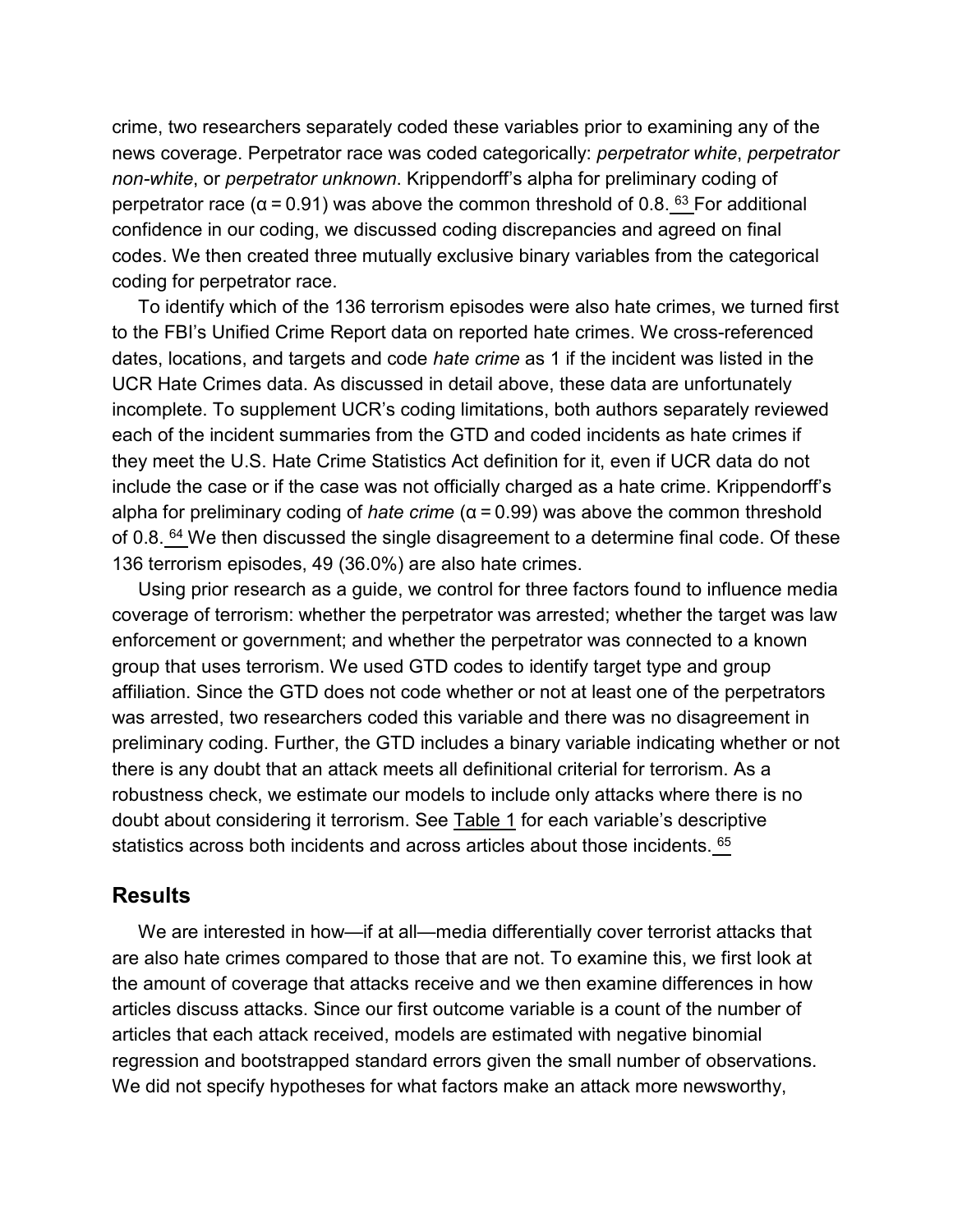crime, two researchers separately coded these variables prior to examining any of the news coverage. Perpetrator race was coded categorically: *perpetrator white*, *perpetrator non-white*, or *perpetrator unknown*. Krippendorff's alpha for preliminary coding of perpetrator race ( $α = 0.91$ ) was above the common threshold of 0.8.  $63$  For additional confidence in our coding, we discussed coding discrepancies and agreed on final codes. We then created three mutually exclusive binary variables from the categorical coding for perpetrator race.

To identify which of the 136 terrorism episodes were also hate crimes, we turned first to the FBI's Unified Crime Report data on reported hate crimes. We cross-referenced dates, locations, and targets and code *hate crime* as 1 if the incident was listed in the UCR Hate Crimes data. As discussed in detail above, these data are unfortunately incomplete. To supplement UCR's coding limitations, both authors separately reviewed each of the incident summaries from the GTD and coded incidents as hate crimes if they meet the U.S. Hate Crime Statistics Act definition for it, even if UCR data do not include the case or if the case was not officially charged as a hate crime. Krippendorff's alpha for preliminary coding of *hate crime* (α = 0.99) was above the common threshold of 0.8.  $64$  We then discussed the single disagreement to a determine final code. Of these 136 terrorism episodes, 49 (36.0%) are also hate crimes.

Using prior research as a guide, we control for three factors found to influence media coverage of terrorism: whether the perpetrator was arrested; whether the target was law enforcement or government; and whether the perpetrator was connected to a known group that uses terrorism. We used GTD codes to identify target type and group affiliation. Since the GTD does not code whether or not at least one of the perpetrators was arrested, two researchers coded this variable and there was no disagreement in preliminary coding. Further, the GTD includes a binary variable indicating whether or not there is any doubt that an attack meets all definitional criterial for terrorism. As a robustness check, we estimate our models to include only attacks where there is no doubt about considering it terrorism. See [Table 1](https://www.tandfonline.com/reader/content/180b52869c4/10.1080/1057610X.2020.1830573/format/epub/EPUB/xhtml/t0001.xhtml) for each variable's descriptive statistics across both incidents and across articles about those incidents. [65](https://www.tandfonline.com/reader/content/180b52869c4/10.1080/1057610X.2020.1830573/format/epub/EPUB/xhtml/index.xhtml#EN0065)

#### **Results**

We are interested in how—if at all—media differentially cover terrorist attacks that are also hate crimes compared to those that are not. To examine this, we first look at the amount of coverage that attacks receive and we then examine differences in how articles discuss attacks. Since our first outcome variable is a count of the number of articles that each attack received, models are estimated with negative binomial regression and bootstrapped standard errors given the small number of observations. We did not specify hypotheses for what factors make an attack more newsworthy,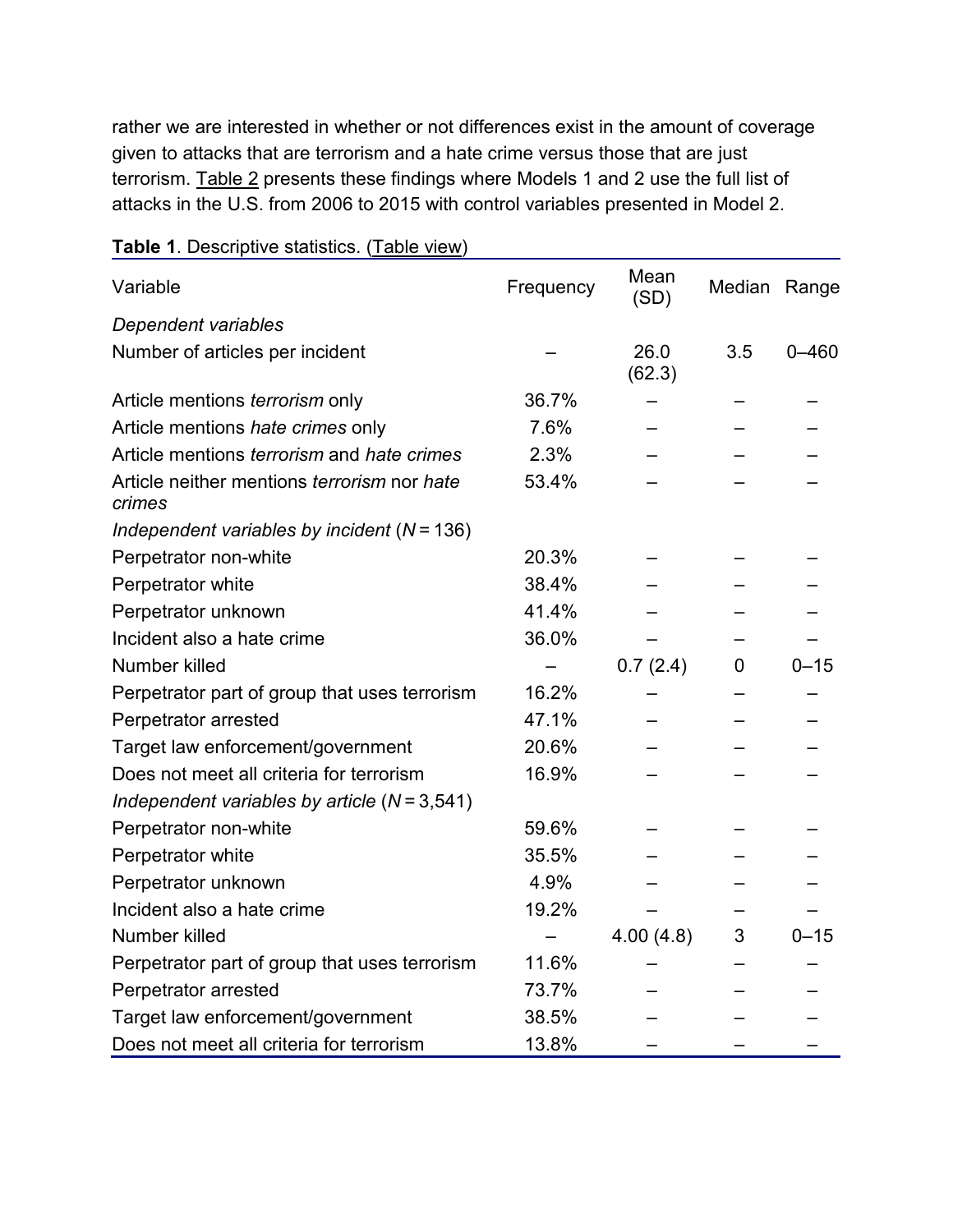rather we are interested in whether or not differences exist in the amount of coverage given to attacks that are terrorism and a hate crime versus those that are just terrorism. [Table 2](https://www.tandfonline.com/reader/content/180b52869c4/10.1080/1057610X.2020.1830573/format/epub/EPUB/xhtml/t0002.xhtml) presents these findings where Models 1 and 2 use the full list of attacks in the U.S. from 2006 to 2015 with control variables presented in Model 2.

| Variable                                                 | Frequency | Mean<br>(SD)   | Median Range |           |
|----------------------------------------------------------|-----------|----------------|--------------|-----------|
| Dependent variables                                      |           |                |              |           |
| Number of articles per incident                          |           | 26.0<br>(62.3) | 3.5          | $0 - 460$ |
| Article mentions <i>terrorism</i> only                   | 36.7%     |                |              |           |
| Article mentions hate crimes only                        | 7.6%      |                |              |           |
| Article mentions <i>terrorism</i> and <i>hate crimes</i> | 2.3%      |                |              |           |
| Article neither mentions terrorism nor hate<br>crimes    | 53.4%     |                |              |           |
| Independent variables by incident $(N = 136)$            |           |                |              |           |
| Perpetrator non-white                                    | 20.3%     |                |              |           |
| Perpetrator white                                        | 38.4%     |                |              |           |
| Perpetrator unknown                                      | 41.4%     |                |              |           |
| Incident also a hate crime                               | 36.0%     |                |              |           |
| Number killed                                            |           | 0.7(2.4)       | 0            | $0 - 15$  |
| Perpetrator part of group that uses terrorism            | 16.2%     |                |              |           |
| Perpetrator arrested                                     | 47.1%     |                |              |           |
| Target law enforcement/government                        | 20.6%     |                |              |           |
| Does not meet all criteria for terrorism                 | 16.9%     |                |              |           |
| Independent variables by article $(N = 3,541)$           |           |                |              |           |
| Perpetrator non-white                                    | 59.6%     |                |              |           |
| Perpetrator white                                        | 35.5%     |                |              |           |
| Perpetrator unknown                                      | 4.9%      |                |              |           |
| Incident also a hate crime                               | 19.2%     |                |              |           |
| Number killed                                            |           | 4.00(4.8)      | 3            | $0 - 15$  |
| Perpetrator part of group that uses terrorism            | 11.6%     |                |              |           |
| Perpetrator arrested                                     | 73.7%     |                |              |           |
| Target law enforcement/government                        | 38.5%     |                |              |           |
| Does not meet all criteria for terrorism                 | 13.8%     |                |              |           |

#### **Table 1**. Descriptive statistics. [\(Table view\)](https://www.tandfonline.com/reader/content/180b52869c4/10.1080/1057610X.2020.1830573/format/epub/EPUB/xhtml/t0001.xhtml)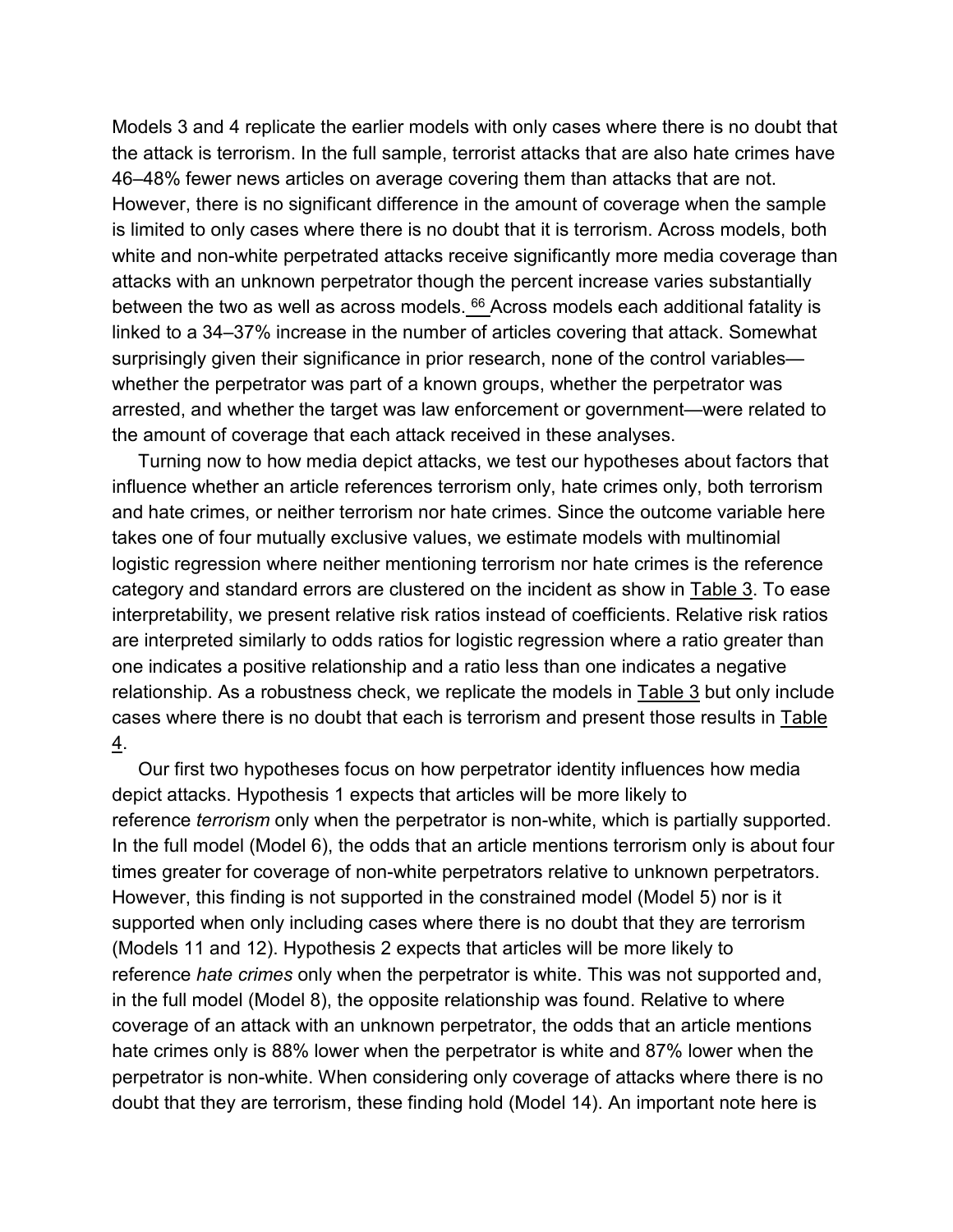Models 3 and 4 replicate the earlier models with only cases where there is no doubt that the attack is terrorism. In the full sample, terrorist attacks that are also hate crimes have 46–48% fewer news articles on average covering them than attacks that are not. However, there is no significant difference in the amount of coverage when the sample is limited to only cases where there is no doubt that it is terrorism. Across models, both white and non-white perpetrated attacks receive significantly more media coverage than attacks with an unknown perpetrator though the percent increase varies substantially between the two as well as across models. <sup>[66](https://www.tandfonline.com/reader/content/180b52869c4/10.1080/1057610X.2020.1830573/format/epub/EPUB/xhtml/index.xhtml#EN0066)</sup> Across models each additional fatality is linked to a 34–37% increase in the number of articles covering that attack. Somewhat surprisingly given their significance in prior research, none of the control variables whether the perpetrator was part of a known groups, whether the perpetrator was arrested, and whether the target was law enforcement or government—were related to the amount of coverage that each attack received in these analyses.

Turning now to how media depict attacks, we test our hypotheses about factors that influence whether an article references terrorism only, hate crimes only, both terrorism and hate crimes, or neither terrorism nor hate crimes. Since the outcome variable here takes one of four mutually exclusive values, we estimate models with multinomial logistic regression where neither mentioning terrorism nor hate crimes is the reference category and standard errors are clustered on the incident as show in [Table 3.](https://www.tandfonline.com/reader/content/180b52869c4/10.1080/1057610X.2020.1830573/format/epub/EPUB/xhtml/t0003.xhtml) To ease interpretability, we present relative risk ratios instead of coefficients. Relative risk ratios are interpreted similarly to odds ratios for logistic regression where a ratio greater than one indicates a positive relationship and a ratio less than one indicates a negative relationship. As a robustness check, we replicate the models in [Table 3](https://www.tandfonline.com/reader/content/180b52869c4/10.1080/1057610X.2020.1830573/format/epub/EPUB/xhtml/t0003.xhtml) but only include cases where there is no doubt that each is terrorism and present those results in [Table](https://www.tandfonline.com/reader/content/180b52869c4/10.1080/1057610X.2020.1830573/format/epub/EPUB/xhtml/t0004.xhtml)  [4.](https://www.tandfonline.com/reader/content/180b52869c4/10.1080/1057610X.2020.1830573/format/epub/EPUB/xhtml/t0004.xhtml)

Our first two hypotheses focus on how perpetrator identity influences how media depict attacks. Hypothesis 1 expects that articles will be more likely to reference *terrorism* only when the perpetrator is non-white, which is partially supported. In the full model (Model 6), the odds that an article mentions terrorism only is about four times greater for coverage of non-white perpetrators relative to unknown perpetrators. However, this finding is not supported in the constrained model (Model 5) nor is it supported when only including cases where there is no doubt that they are terrorism (Models 11 and 12). Hypothesis 2 expects that articles will be more likely to reference *hate crimes* only when the perpetrator is white. This was not supported and, in the full model (Model 8), the opposite relationship was found. Relative to where coverage of an attack with an unknown perpetrator, the odds that an article mentions hate crimes only is 88% lower when the perpetrator is white and 87% lower when the perpetrator is non-white. When considering only coverage of attacks where there is no doubt that they are terrorism, these finding hold (Model 14). An important note here is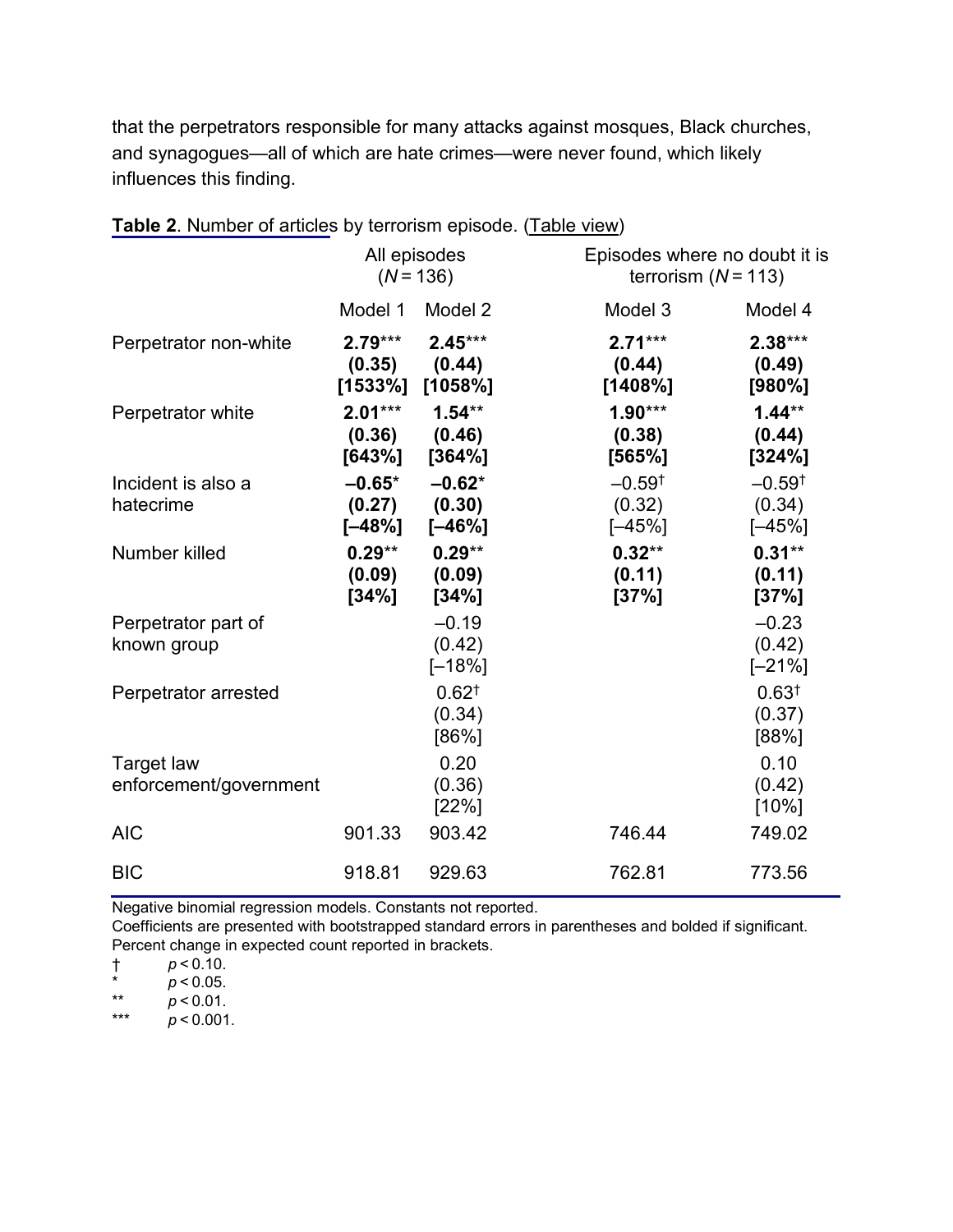that the perpetrators responsible for many attacks against mosques, Black churches, and synagogues—all of which are hate crimes—were never found, which likely influences this finding.

|                                             | All episodes<br>$(N = 136)$     |                                           |                                            | Episodes where no doubt it is<br>terrorism $(N = 113)$ |  |  |
|---------------------------------------------|---------------------------------|-------------------------------------------|--------------------------------------------|--------------------------------------------------------|--|--|
|                                             | Model 1                         | Model 2                                   | Model 3                                    | Model 4                                                |  |  |
| Perpetrator non-white                       | $2.79***$<br>(0.35)             | $2.45***$<br>(0.44)<br>$[1533\%]$ [1058%] | $2.71***$<br>(0.44)<br>[1408%]             | $2.38***$<br>(0.49)<br>[980%]                          |  |  |
| Perpetrator white                           | $2.01***$<br>(0.36)<br>[643%]   | $1.54**$<br>(0.46)<br>[364%]              | $1.90***$<br>(0.38)<br>[565%]              | $1.44**$<br>(0.44)<br>[324%]                           |  |  |
| Incident is also a<br>hatecrime             | $-0.65*$<br>(0.27)<br>$[-48\%]$ | $-0.62*$<br>(0.30)<br>$[-46%]$            | $-0.59$ <sup>+</sup><br>(0.32)<br>$[-45%]$ | $-0.59$ <sup>t</sup><br>(0.34)<br>$[-45%]$             |  |  |
| Number killed                               | $0.29**$<br>(0.09)<br>[34%]     | $0.29**$<br>(0.09)<br>[34%]               | $0.32**$<br>(0.11)<br>[37%]                | $0.31**$<br>(0.11)<br>[37%]                            |  |  |
| Perpetrator part of<br>known group          |                                 | $-0.19$<br>(0.42)<br>$[-18%]$             |                                            | $-0.23$<br>(0.42)<br>$[-21\%]$                         |  |  |
| Perpetrator arrested                        |                                 | 0.62 <sup>†</sup><br>(0.34)<br>[86%]      |                                            | 0.63 <sup>†</sup><br>(0.37)<br>[88%]                   |  |  |
| <b>Target law</b><br>enforcement/government |                                 | 0.20<br>(0.36)<br>[22%]                   |                                            | 0.10<br>(0.42)<br>$[10\%]$                             |  |  |
| <b>AIC</b>                                  | 901.33                          | 903.42                                    | 746.44                                     | 749.02                                                 |  |  |
| <b>BIC</b>                                  | 918.81                          | 929.63                                    | 762.81                                     | 773.56                                                 |  |  |

**Table 2**. Number of articles by terrorism episode. [\(Table view\)](https://www.tandfonline.com/reader/content/180b52869c4/10.1080/1057610X.2020.1830573/format/epub/EPUB/xhtml/t0002.xhtml)

Negative binomial regression models. Constants not reported.

Coefficients are presented with bootstrapped standard errors in parentheses and bolded if significant. Percent change in expected count reported in brackets.

† *p* < 0.10.

\*  $p < 0.05$ .

\*\*  $p < 0.01$ .

 $p < 0.001$ .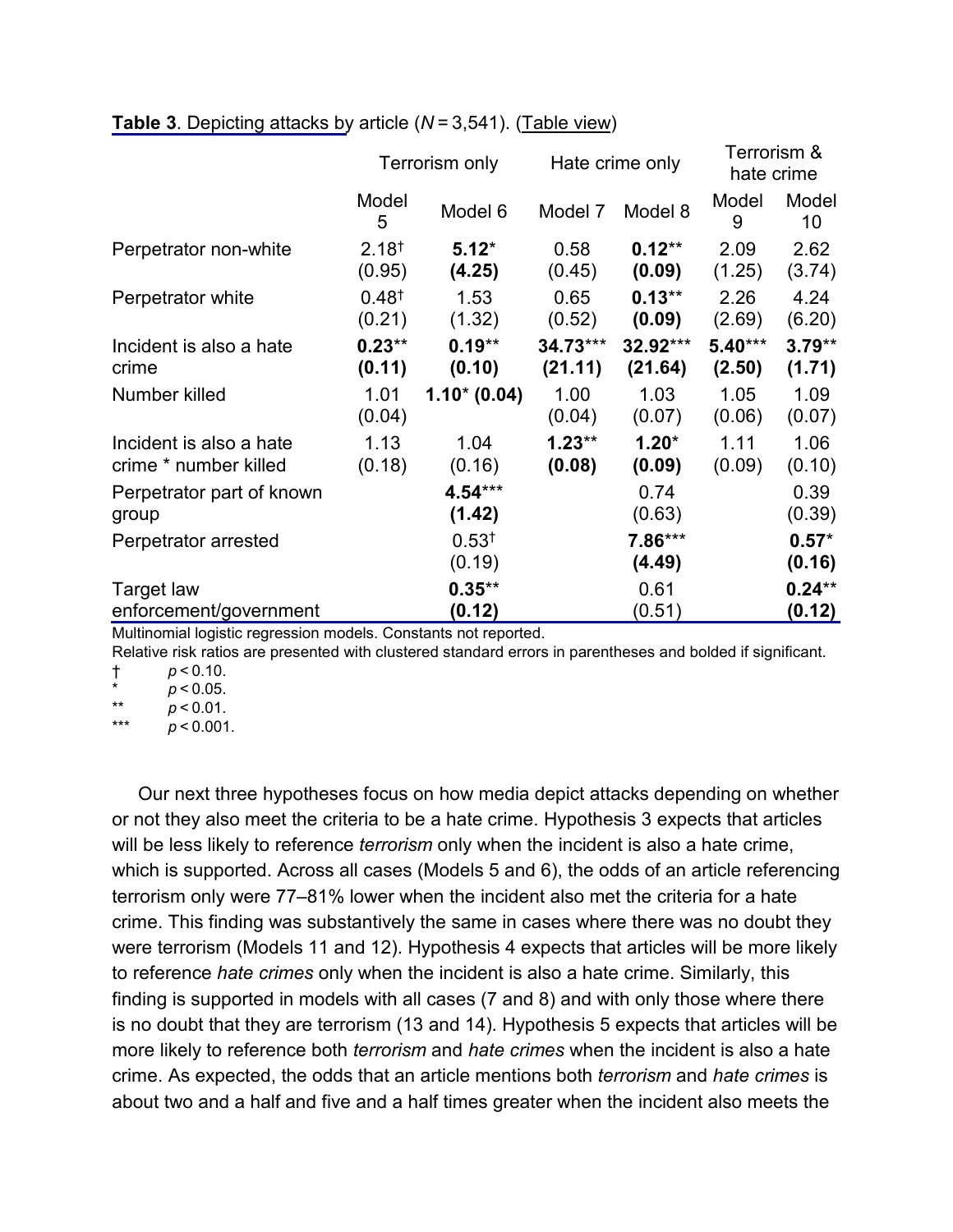|                                                  | Terrorism only              |                             | Hate crime only       |                     | Terrorism &<br>hate crime |                    |
|--------------------------------------------------|-----------------------------|-----------------------------|-----------------------|---------------------|---------------------------|--------------------|
|                                                  | Model<br>5                  | Model 6                     | Model 7               | Model 8             | Model<br>9                | Model<br>10        |
| Perpetrator non-white                            | $2.18^{+}$<br>(0.95)        | $5.12*$<br>(4.25)           | 0.58<br>(0.45)        | $0.12**$<br>(0.09)  | 2.09<br>(1.25)            | 2.62<br>(3.74)     |
| Perpetrator white                                | 0.48 <sup>†</sup><br>(0.21) | 1.53<br>(1.32)              | 0.65<br>(0.52)        | $0.13***$<br>(0.09) | 2.26<br>(2.69)            | 4.24<br>(6.20)     |
| Incident is also a hate<br>crime                 | $0.23**$<br>(0.11)          | $0.19**$<br>(0.10)          | $34.73***$<br>(21.11) | 32.92***<br>(21.64) | $5.40***$<br>(2.50)       | $3.79**$<br>(1.71) |
| Number killed                                    | 1.01<br>(0.04)              | $1.10^{*}$ (0.04)           | 1.00<br>(0.04)        | 1.03<br>(0.07)      | 1.05<br>(0.06)            | 1.09<br>(0.07)     |
| Incident is also a hate<br>crime * number killed | 1.13<br>(0.18)              | 1.04<br>(0.16)              | $1.23**$<br>(0.08)    | $1.20*$<br>(0.09)   | 1.11<br>(0.09)            | 1.06<br>(0.10)     |
| Perpetrator part of known<br>group               |                             | 4.54***<br>(1.42)           |                       | 0.74<br>(0.63)      |                           | 0.39<br>(0.39)     |
| Perpetrator arrested                             |                             | 0.53 <sup>†</sup><br>(0.19) |                       | 7.86***<br>(4.49)   |                           | $0.57*$<br>(0.16)  |
| Target law<br>enforcement/government             |                             | $0.35***$<br>(0.12)         |                       | 0.61<br>(0.51)      |                           | $0.24**$<br>(0.12) |

#### **Table 3**. Depicting attacks by article (*N* = 3,541). [\(Table view\)](https://www.tandfonline.com/reader/content/180b52869c4/10.1080/1057610X.2020.1830573/format/epub/EPUB/xhtml/t0003.xhtml)

Multinomial logistic regression models. Constants not reported.

Relative risk ratios are presented with clustered standard errors in parentheses and bolded if significant. † *p* < 0.10.

 $\frac{m}{100}$  *p* < 0.05.

\*\*  $p < 0.01$ .  $p < 0.001$ .

Our next three hypotheses focus on how media depict attacks depending on whether or not they also meet the criteria to be a hate crime. Hypothesis 3 expects that articles will be less likely to reference *terrorism* only when the incident is also a hate crime, which is supported. Across all cases (Models 5 and 6), the odds of an article referencing terrorism only were 77–81% lower when the incident also met the criteria for a hate crime. This finding was substantively the same in cases where there was no doubt they were terrorism (Models 11 and 12). Hypothesis 4 expects that articles will be more likely to reference *hate crimes* only when the incident is also a hate crime. Similarly, this finding is supported in models with all cases (7 and 8) and with only those where there is no doubt that they are terrorism (13 and 14). Hypothesis 5 expects that articles will be more likely to reference both *terrorism* and *hate crimes* when the incident is also a hate crime. As expected, the odds that an article mentions both *terrorism* and *hate crimes* is about two and a half and five and a half times greater when the incident also meets the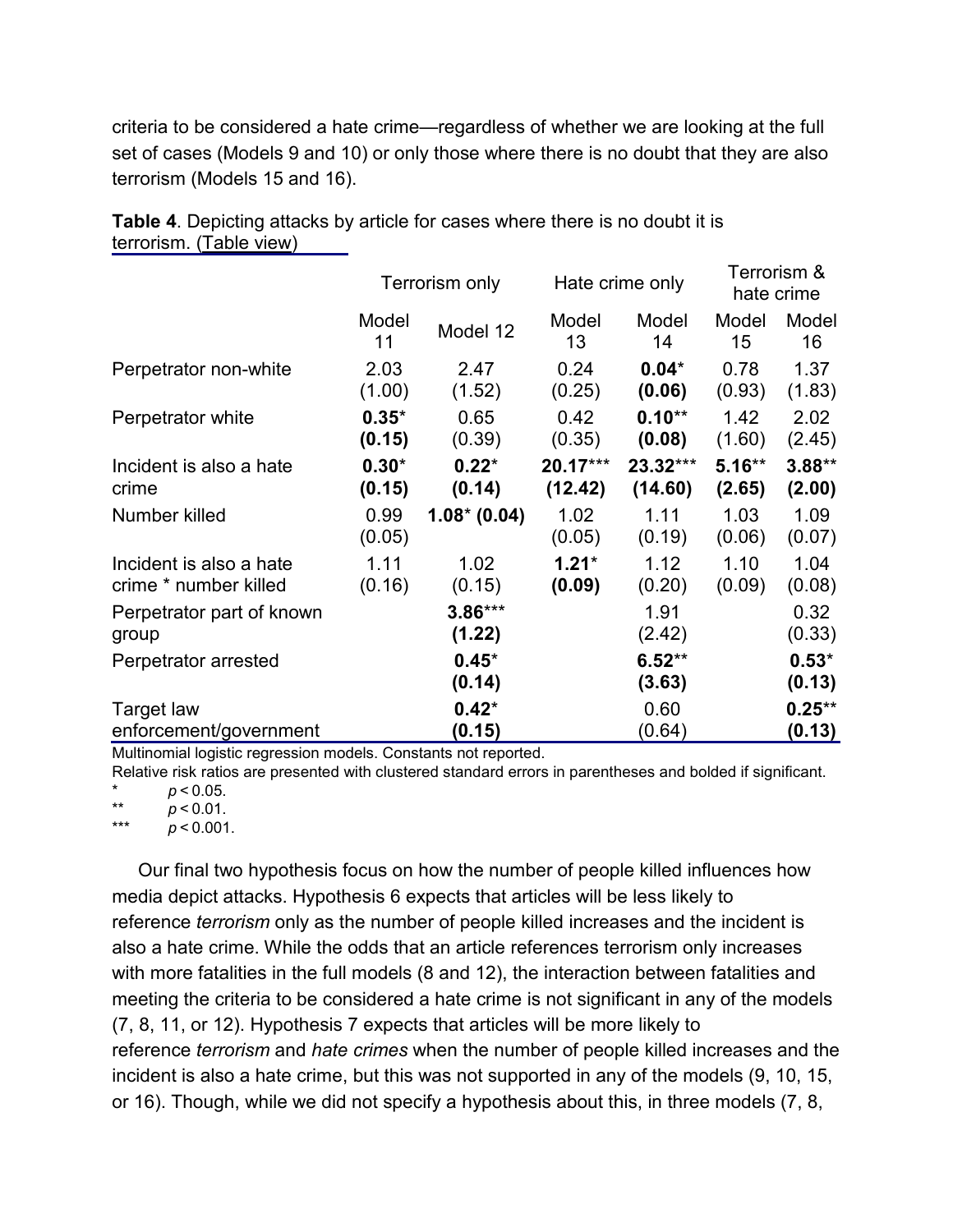criteria to be considered a hate crime—regardless of whether we are looking at the full set of cases (Models 9 and 10) or only those where there is no doubt that they are also terrorism (Models 15 and 16).

|                                                  | Terrorism only    |                     | Hate crime only       |                     | Terrorism &<br>hate crime |                     |
|--------------------------------------------------|-------------------|---------------------|-----------------------|---------------------|---------------------------|---------------------|
|                                                  | Model<br>11       | Model 12            | Model<br>13           | Model<br>14         | Model<br>15               | Model<br>16         |
| Perpetrator non-white                            | 2.03<br>(1.00)    | 2.47<br>(1.52)      | 0.24<br>(0.25)        | $0.04*$<br>(0.06)   | 0.78<br>(0.93)            | 1.37<br>(1.83)      |
| Perpetrator white                                | $0.35*$<br>(0.15) | 0.65<br>(0.39)      | 0.42<br>(0.35)        | $0.10**$<br>(0.08)  | 1.42<br>(1.60)            | 2.02<br>(2.45)      |
| Incident is also a hate<br>crime                 | $0.30*$<br>(0.15) | $0.22*$<br>(0.14)   | $20.17***$<br>(12.42) | 23.32***<br>(14.60) | $5.16***$<br>(2.65)       | $3.88**$<br>(2.00)  |
| Number killed                                    | 0.99<br>(0.05)    | $1.08* (0.04)$      | 1.02<br>(0.05)        | 1.11<br>(0.19)      | 1.03<br>(0.06)            | 1.09<br>(0.07)      |
| Incident is also a hate<br>crime * number killed | 1.11<br>(0.16)    | 1.02<br>(0.15)      | $1.21*$<br>(0.09)     | 1.12<br>(0.20)      | 1.10<br>(0.09)            | 1.04<br>(0.08)      |
| Perpetrator part of known<br>group               |                   | $3.86***$<br>(1.22) |                       | 1.91<br>(2.42)      |                           | 0.32<br>(0.33)      |
| Perpetrator arrested                             |                   | $0.45*$<br>(0.14)   |                       | $6.52**$<br>(3.63)  |                           | $0.53*$<br>(0.13)   |
| Target law<br>enforcement/government             |                   | $0.42*$<br>(0.15)   |                       | 0.60<br>(0.64)      |                           | $0.25***$<br>(0.13) |

**Table 4**. Depicting attacks by article for cases where there is no doubt it is terrorism. [\(Table view\)](https://www.tandfonline.com/reader/content/180b52869c4/10.1080/1057610X.2020.1830573/format/epub/EPUB/xhtml/t0004.xhtml)

Multinomial logistic regression models. Constants not reported.

Relative risk ratios are presented with clustered standard errors in parentheses and bolded if significant.

 $\frac{1}{2}$  *p* < 0.05.

\*\*  $p < 0.01$ .  $p < 0.001$ .

Our final two hypothesis focus on how the number of people killed influences how media depict attacks. Hypothesis 6 expects that articles will be less likely to reference *terrorism* only as the number of people killed increases and the incident is also a hate crime. While the odds that an article references terrorism only increases with more fatalities in the full models (8 and 12), the interaction between fatalities and meeting the criteria to be considered a hate crime is not significant in any of the models (7, 8, 11, or 12). Hypothesis 7 expects that articles will be more likely to reference *terrorism* and *hate crimes* when the number of people killed increases and the incident is also a hate crime, but this was not supported in any of the models (9, 10, 15, or 16). Though, while we did not specify a hypothesis about this, in three models (7, 8,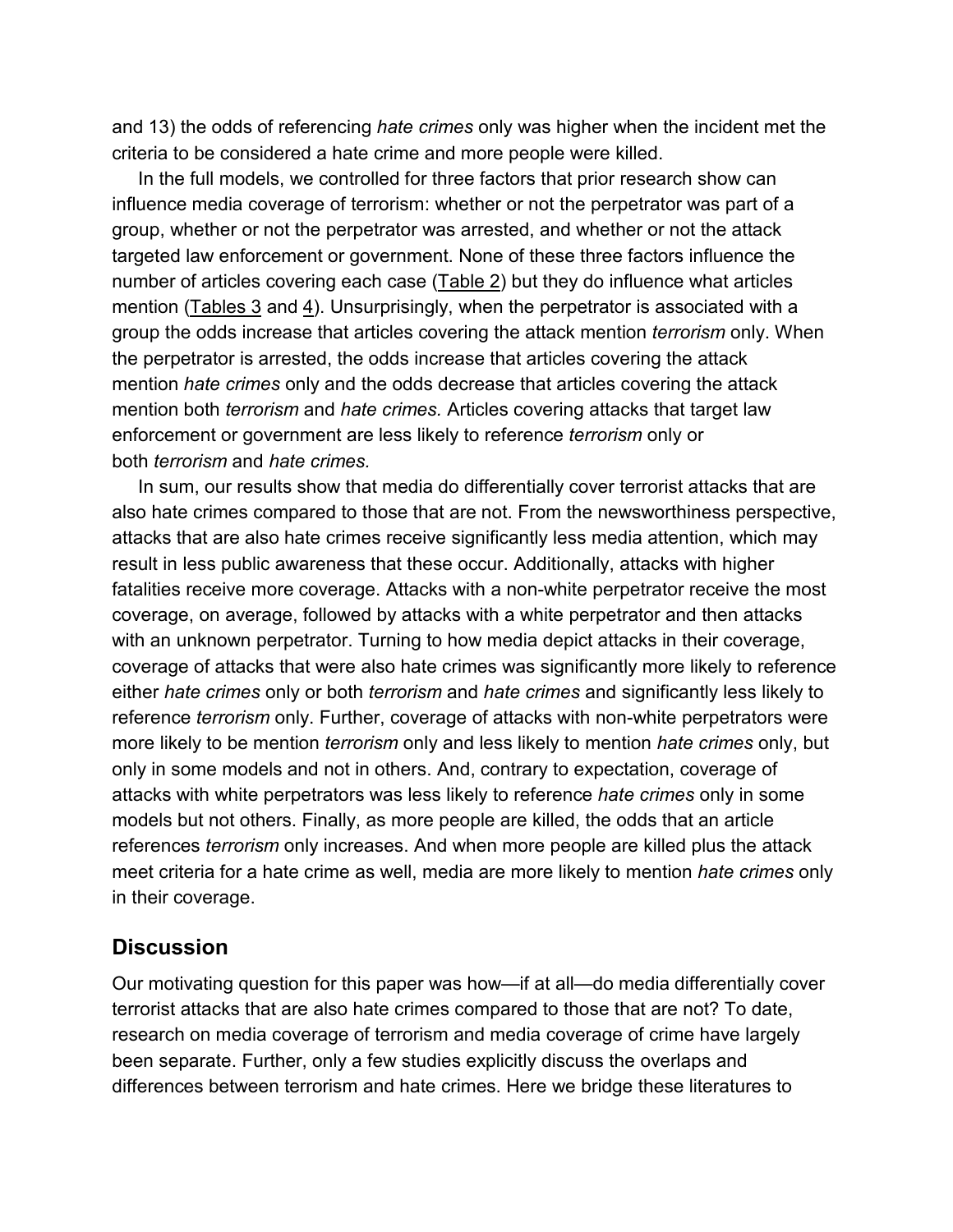and 13) the odds of referencing *hate crimes* only was higher when the incident met the criteria to be considered a hate crime and more people were killed.

In the full models, we controlled for three factors that prior research show can influence media coverage of terrorism: whether or not the perpetrator was part of a group, whether or not the perpetrator was arrested, and whether or not the attack targeted law enforcement or government. None of these three factors influence the number of articles covering each case [\(Table 2\)](https://www.tandfonline.com/reader/content/180b52869c4/10.1080/1057610X.2020.1830573/format/epub/EPUB/xhtml/t0002.xhtml) but they do influence what articles mention (Tables  $3$  and  $4$ ). Unsurprisingly, when the perpetrator is associated with a group the odds increase that articles covering the attack mention *terrorism* only. When the perpetrator is arrested, the odds increase that articles covering the attack mention *hate crimes* only and the odds decrease that articles covering the attack mention both *terrorism* and *hate crimes.* Articles covering attacks that target law enforcement or government are less likely to reference *terrorism* only or both *terrorism* and *hate crimes.*

In sum, our results show that media do differentially cover terrorist attacks that are also hate crimes compared to those that are not. From the newsworthiness perspective, attacks that are also hate crimes receive significantly less media attention, which may result in less public awareness that these occur. Additionally, attacks with higher fatalities receive more coverage. Attacks with a non-white perpetrator receive the most coverage, on average, followed by attacks with a white perpetrator and then attacks with an unknown perpetrator. Turning to how media depict attacks in their coverage, coverage of attacks that were also hate crimes was significantly more likely to reference either *hate crimes* only or both *terrorism* and *hate crimes* and significantly less likely to reference *terrorism* only. Further, coverage of attacks with non-white perpetrators were more likely to be mention *terrorism* only and less likely to mention *hate crimes* only, but only in some models and not in others. And, contrary to expectation, coverage of attacks with white perpetrators was less likely to reference *hate crimes* only in some models but not others. Finally, as more people are killed, the odds that an article references *terrorism* only increases. And when more people are killed plus the attack meet criteria for a hate crime as well, media are more likely to mention *hate crimes* only in their coverage.

#### **Discussion**

Our motivating question for this paper was how—if at all—do media differentially cover terrorist attacks that are also hate crimes compared to those that are not? To date, research on media coverage of terrorism and media coverage of crime have largely been separate. Further, only a few studies explicitly discuss the overlaps and differences between terrorism and hate crimes. Here we bridge these literatures to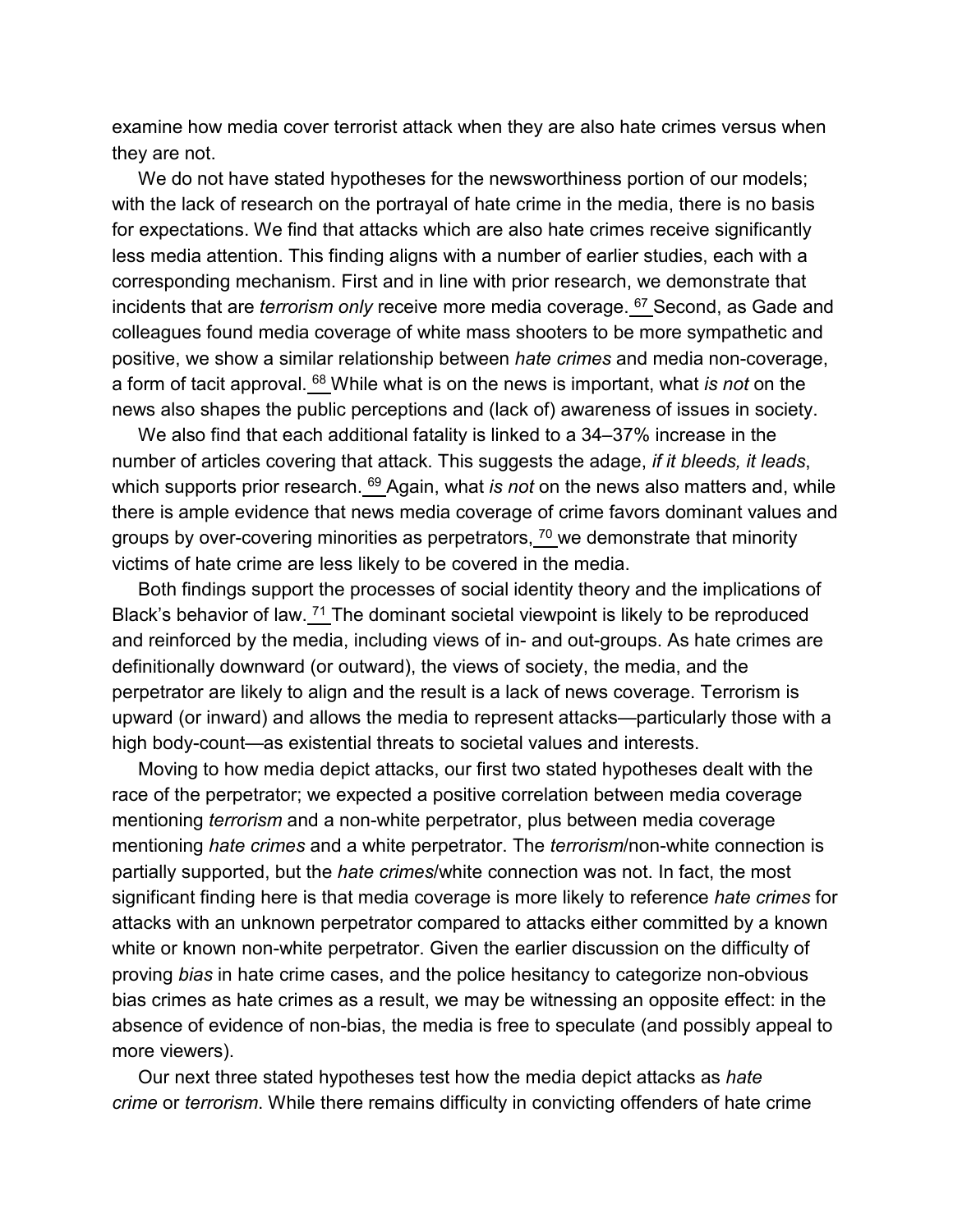examine how media cover terrorist attack when they are also hate crimes versus when they are not.

We do not have stated hypotheses for the newsworthiness portion of our models; with the lack of research on the portrayal of hate crime in the media, there is no basis for expectations. We find that attacks which are also hate crimes receive significantly less media attention. This finding aligns with a number of earlier studies, each with a corresponding mechanism. First and in line with prior research, we demonstrate that incidents that are *terrorism only* receive more media coverage. [67](https://www.tandfonline.com/reader/content/180b52869c4/10.1080/1057610X.2020.1830573/format/epub/EPUB/xhtml/index.xhtml#EN0067) Second, as Gade and colleagues found media coverage of white mass shooters to be more sympathetic and positive, we show a similar relationship between *hate crimes* and media non-coverage, a form of tacit approval. [68](https://www.tandfonline.com/reader/content/180b52869c4/10.1080/1057610X.2020.1830573/format/epub/EPUB/xhtml/index.xhtml#EN0068) While what is on the news is important, what *is not* on the news also shapes the public perceptions and (lack of) awareness of issues in society.

We also find that each additional fatality is linked to a 34–37% increase in the number of articles covering that attack. This suggests the adage, *if it bleeds, it leads*, which supports prior research. <sup>[69](https://www.tandfonline.com/reader/content/180b52869c4/10.1080/1057610X.2020.1830573/format/epub/EPUB/xhtml/index.xhtml#EN0069)</sup> Again, what *is not* on the news also matters and, while there is ample evidence that news media coverage of crime favors dominant values and groups by over-covering minorities as perpetrators,  $\frac{70}{2}$  $\frac{70}{2}$  $\frac{70}{2}$  we demonstrate that minority victims of hate crime are less likely to be covered in the media.

Both findings support the processes of social identity theory and the implications of Black's behavior of law.  $71$  The dominant societal viewpoint is likely to be reproduced and reinforced by the media, including views of in- and out-groups. As hate crimes are definitionally downward (or outward), the views of society, the media, and the perpetrator are likely to align and the result is a lack of news coverage. Terrorism is upward (or inward) and allows the media to represent attacks—particularly those with a high body-count—as existential threats to societal values and interests.

Moving to how media depict attacks, our first two stated hypotheses dealt with the race of the perpetrator; we expected a positive correlation between media coverage mentioning *terrorism* and a non-white perpetrator, plus between media coverage mentioning *hate crimes* and a white perpetrator. The *terrorism*/non-white connection is partially supported, but the *hate crimes*/white connection was not. In fact, the most significant finding here is that media coverage is more likely to reference *hate crimes* for attacks with an unknown perpetrator compared to attacks either committed by a known white or known non-white perpetrator. Given the earlier discussion on the difficulty of proving *bias* in hate crime cases, and the police hesitancy to categorize non-obvious bias crimes as hate crimes as a result, we may be witnessing an opposite effect: in the absence of evidence of non-bias, the media is free to speculate (and possibly appeal to more viewers).

Our next three stated hypotheses test how the media depict attacks as *hate crime* or *terrorism*. While there remains difficulty in convicting offenders of hate crime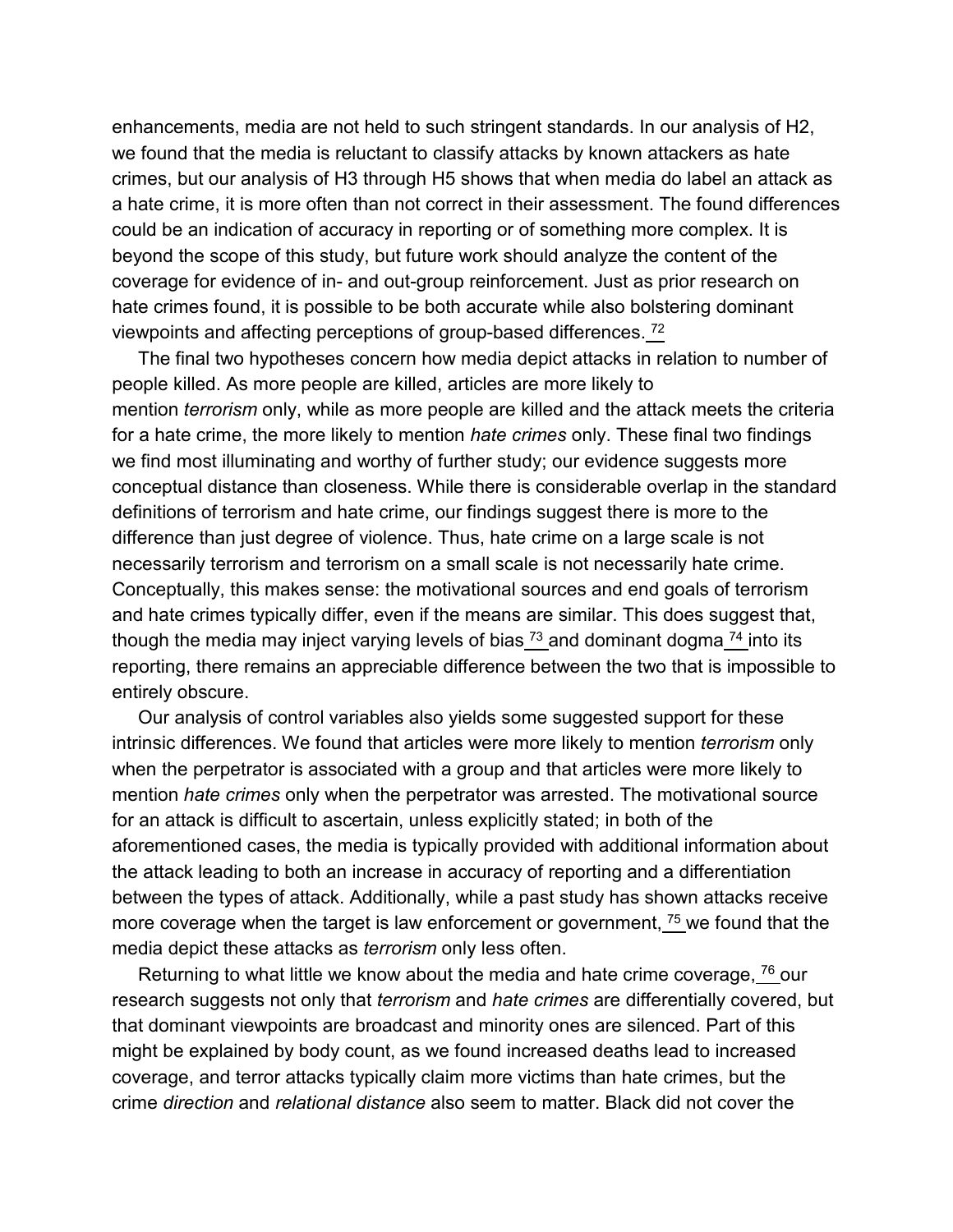enhancements, media are not held to such stringent standards. In our analysis of H2, we found that the media is reluctant to classify attacks by known attackers as hate crimes, but our analysis of H3 through H5 shows that when media do label an attack as a hate crime, it is more often than not correct in their assessment. The found differences could be an indication of accuracy in reporting or of something more complex. It is beyond the scope of this study, but future work should analyze the content of the coverage for evidence of in- and out-group reinforcement. Just as prior research on hate crimes found, it is possible to be both accurate while also bolstering dominant viewpoints and affecting perceptions of group-based differences. [72](https://www.tandfonline.com/reader/content/180b52869c4/10.1080/1057610X.2020.1830573/format/epub/EPUB/xhtml/index.xhtml#EN0072)

The final two hypotheses concern how media depict attacks in relation to number of people killed. As more people are killed, articles are more likely to mention *terrorism* only, while as more people are killed and the attack meets the criteria for a hate crime, the more likely to mention *hate crimes* only. These final two findings we find most illuminating and worthy of further study; our evidence suggests more conceptual distance than closeness. While there is considerable overlap in the standard definitions of terrorism and hate crime, our findings suggest there is more to the difference than just degree of violence. Thus, hate crime on a large scale is not necessarily terrorism and terrorism on a small scale is not necessarily hate crime. Conceptually, this makes sense: the motivational sources and end goals of terrorism and hate crimes typically differ, even if the means are similar. This does suggest that, though the media may inject varying levels of bias  $73$  and dominant dogma  $74$  into its reporting, there remains an appreciable difference between the two that is impossible to entirely obscure.

Our analysis of control variables also yields some suggested support for these intrinsic differences. We found that articles were more likely to mention *terrorism* only when the perpetrator is associated with a group and that articles were more likely to mention *hate crimes* only when the perpetrator was arrested. The motivational source for an attack is difficult to ascertain, unless explicitly stated; in both of the aforementioned cases, the media is typically provided with additional information about the attack leading to both an increase in accuracy of reporting and a differentiation between the types of attack. Additionally, while a past study has shown attacks receive more coverage when the target is law enforcement or government,  $\frac{75}{1}$  $\frac{75}{1}$  $\frac{75}{1}$  we found that the media depict these attacks as *terrorism* only less often.

Returning to what little we know about the media and hate crime coverage,  $\frac{76}{ }$  $\frac{76}{ }$  $\frac{76}{ }$  our research suggests not only that *terrorism* and *hate crimes* are differentially covered, but that dominant viewpoints are broadcast and minority ones are silenced. Part of this might be explained by body count, as we found increased deaths lead to increased coverage, and terror attacks typically claim more victims than hate crimes, but the crime *direction* and *relational distance* also seem to matter. Black did not cover the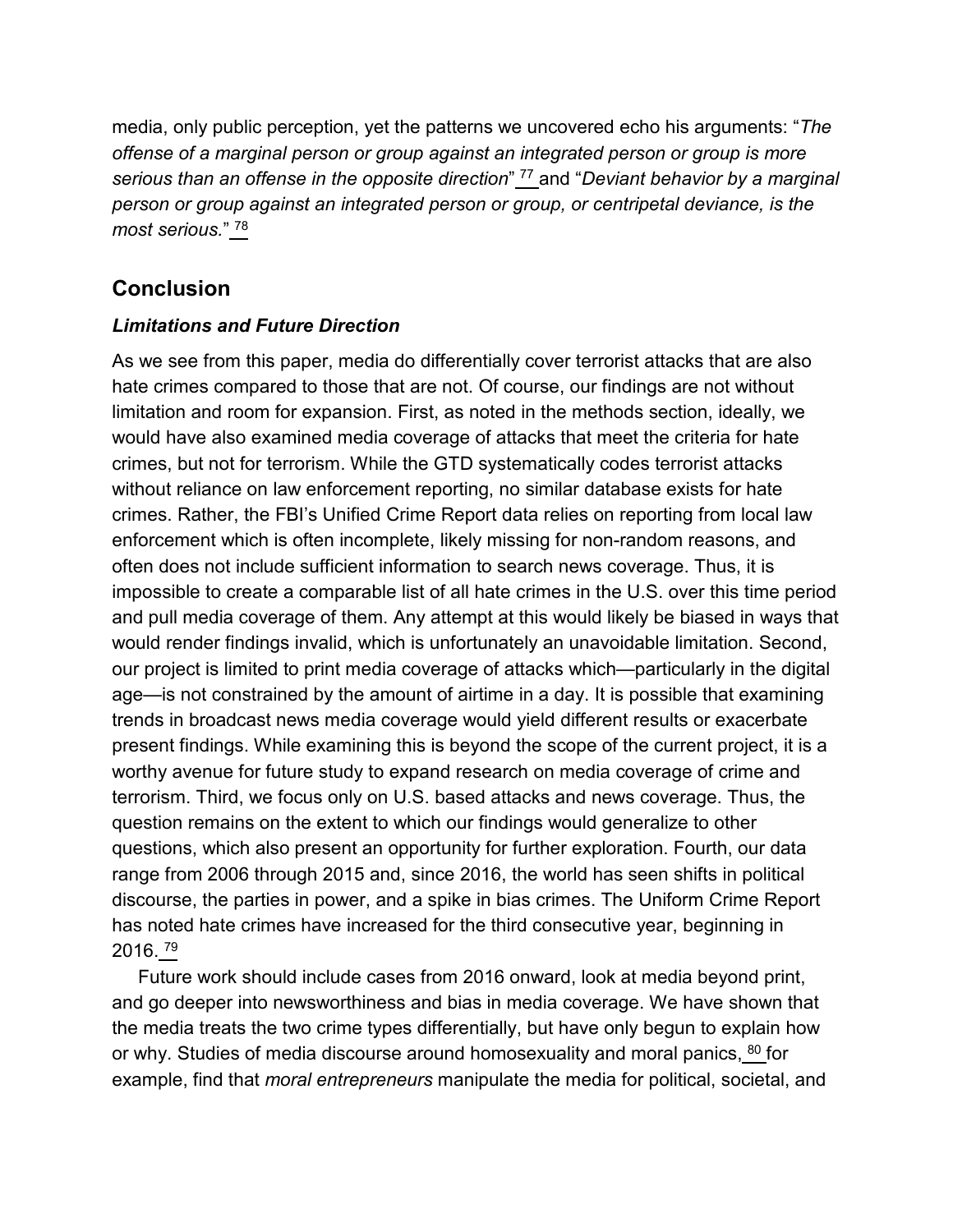media, only public perception, yet the patterns we uncovered echo his arguments: "*The offense of a marginal person or group against an integrated person or group is more serious than an offense in the opposite direction*" [77](https://www.tandfonline.com/reader/content/180b52869c4/10.1080/1057610X.2020.1830573/format/epub/EPUB/xhtml/index.xhtml#EN0077) and "*Deviant behavior by a marginal person or group against an integrated person or group, or centripetal deviance, is the most serious.*" [78](https://www.tandfonline.com/reader/content/180b52869c4/10.1080/1057610X.2020.1830573/format/epub/EPUB/xhtml/index.xhtml#EN0078)

## **Conclusion**

#### *Limitations and Future Direction*

As we see from this paper, media do differentially cover terrorist attacks that are also hate crimes compared to those that are not. Of course, our findings are not without limitation and room for expansion. First, as noted in the methods section, ideally, we would have also examined media coverage of attacks that meet the criteria for hate crimes, but not for terrorism. While the GTD systematically codes terrorist attacks without reliance on law enforcement reporting, no similar database exists for hate crimes. Rather, the FBI's Unified Crime Report data relies on reporting from local law enforcement which is often incomplete, likely missing for non-random reasons, and often does not include sufficient information to search news coverage. Thus, it is impossible to create a comparable list of all hate crimes in the U.S. over this time period and pull media coverage of them. Any attempt at this would likely be biased in ways that would render findings invalid, which is unfortunately an unavoidable limitation. Second, our project is limited to print media coverage of attacks which—particularly in the digital age—is not constrained by the amount of airtime in a day. It is possible that examining trends in broadcast news media coverage would yield different results or exacerbate present findings. While examining this is beyond the scope of the current project, it is a worthy avenue for future study to expand research on media coverage of crime and terrorism. Third, we focus only on U.S. based attacks and news coverage. Thus, the question remains on the extent to which our findings would generalize to other questions, which also present an opportunity for further exploration. Fourth, our data range from 2006 through 2015 and, since 2016, the world has seen shifts in political discourse, the parties in power, and a spike in bias crimes. The Uniform Crime Report has noted hate crimes have increased for the third consecutive year, beginning in 2016. [79](https://www.tandfonline.com/reader/content/180b52869c4/10.1080/1057610X.2020.1830573/format/epub/EPUB/xhtml/index.xhtml#EN0079)

Future work should include cases from 2016 onward, look at media beyond print, and go deeper into newsworthiness and bias in media coverage. We have shown that the media treats the two crime types differentially, but have only begun to explain how or why. Studies of media discourse around homosexuality and moral panics, <sup>[80](https://www.tandfonline.com/reader/content/180b52869c4/10.1080/1057610X.2020.1830573/format/epub/EPUB/xhtml/index.xhtml#EN0080)</sup> for example, find that *moral entrepreneurs* manipulate the media for political, societal, and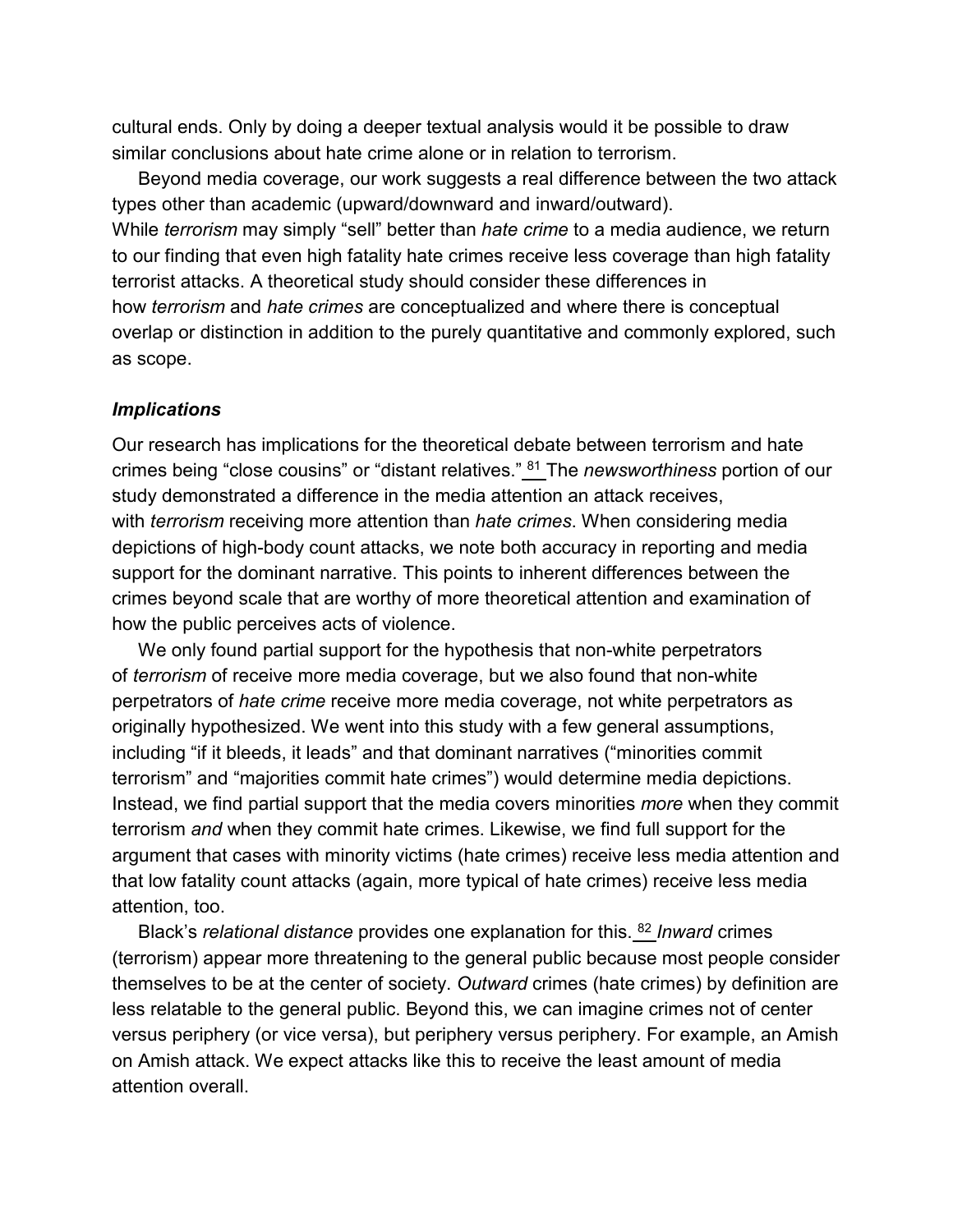cultural ends. Only by doing a deeper textual analysis would it be possible to draw similar conclusions about hate crime alone or in relation to terrorism.

Beyond media coverage, our work suggests a real difference between the two attack types other than academic (upward/downward and inward/outward). While *terrorism* may simply "sell" better than *hate crime* to a media audience, we return to our finding that even high fatality hate crimes receive less coverage than high fatality terrorist attacks. A theoretical study should consider these differences in how *terrorism* and *hate crimes* are conceptualized and where there is conceptual overlap or distinction in addition to the purely quantitative and commonly explored, such as scope.

#### *Implications*

Our research has implications for the theoretical debate between terrorism and hate crimes being "close cousins" or "distant relatives." [81](https://www.tandfonline.com/reader/content/180b52869c4/10.1080/1057610X.2020.1830573/format/epub/EPUB/xhtml/index.xhtml#EN0081) The *newsworthiness* portion of our study demonstrated a difference in the media attention an attack receives, with *terrorism* receiving more attention than *hate crimes*. When considering media depictions of high-body count attacks, we note both accuracy in reporting and media support for the dominant narrative. This points to inherent differences between the crimes beyond scale that are worthy of more theoretical attention and examination of how the public perceives acts of violence.

We only found partial support for the hypothesis that non-white perpetrators of *terrorism* of receive more media coverage, but we also found that non-white perpetrators of *hate crime* receive more media coverage, not white perpetrators as originally hypothesized. We went into this study with a few general assumptions, including "if it bleeds, it leads" and that dominant narratives ("minorities commit terrorism" and "majorities commit hate crimes") would determine media depictions. Instead, we find partial support that the media covers minorities *more* when they commit terrorism *and* when they commit hate crimes. Likewise, we find full support for the argument that cases with minority victims (hate crimes) receive less media attention and that low fatality count attacks (again, more typical of hate crimes) receive less media attention, too.

Black's *relational distance* provides one explanation for this. [82](https://www.tandfonline.com/reader/content/180b52869c4/10.1080/1057610X.2020.1830573/format/epub/EPUB/xhtml/index.xhtml#EN0082) *Inward* crimes (terrorism) appear more threatening to the general public because most people consider themselves to be at the center of society. *Outward* crimes (hate crimes) by definition are less relatable to the general public. Beyond this, we can imagine crimes not of center versus periphery (or vice versa), but periphery versus periphery. For example, an Amish on Amish attack. We expect attacks like this to receive the least amount of media attention overall.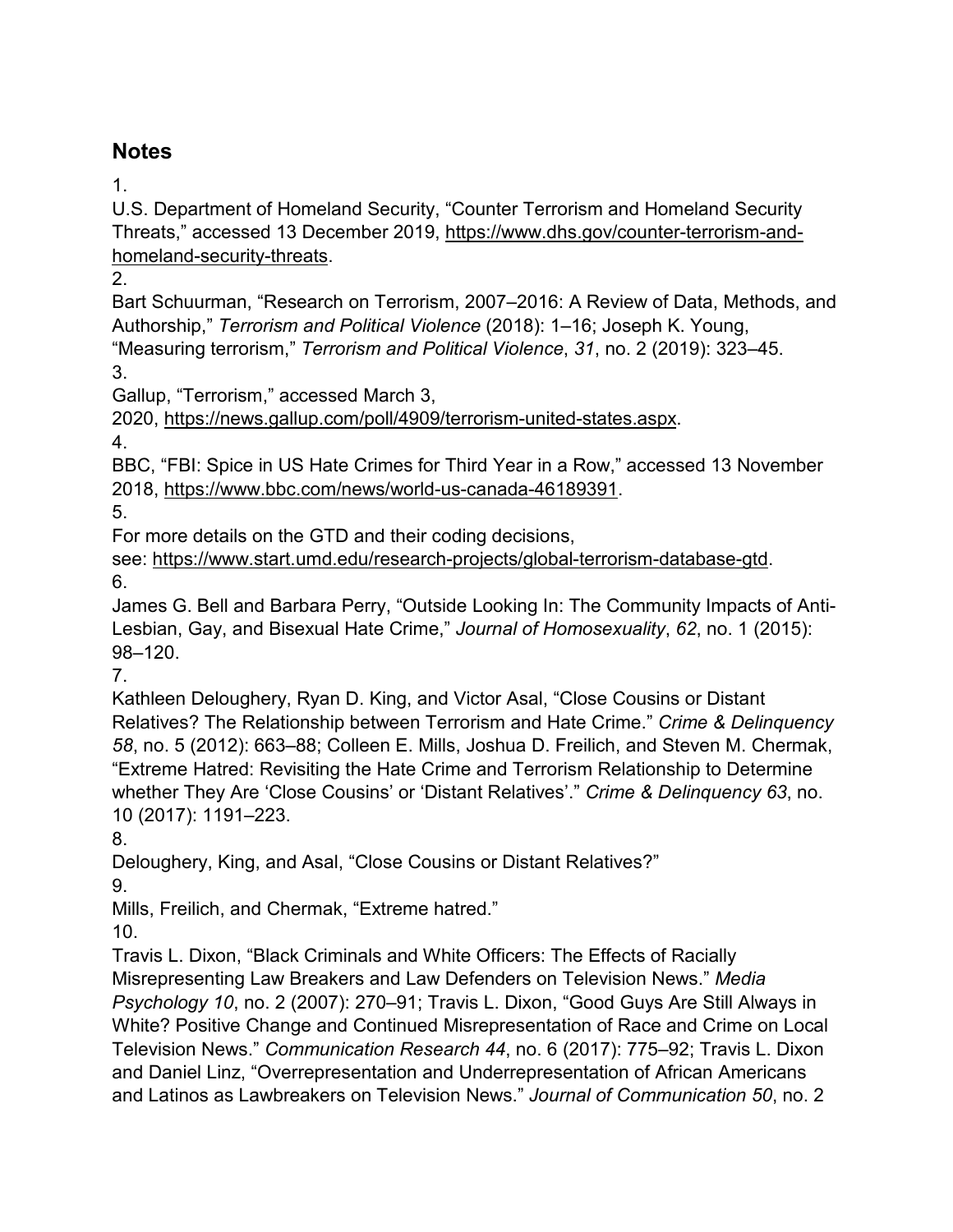## **Notes**

1.

U.S. Department of Homeland Security, "Counter Terrorism and Homeland Security Threats," accessed 13 December 2019, [https://www.dhs.gov/counter-terrorism-and](https://www.dhs.gov/counter-terrorism-and-homeland-security-threats)[homeland-security-threats.](https://www.dhs.gov/counter-terrorism-and-homeland-security-threats)

2.

Bart Schuurman, "Research on Terrorism, 2007–2016: A Review of Data, Methods, and Authorship," *Terrorism and Political Violence* (2018): 1–16; Joseph K. Young, "Measuring terrorism," *Terrorism and Political Violence*, *31*, no. 2 (2019): 323–45.

3.

Gallup, "Terrorism," accessed March 3,

2020, [https://news.gallup.com/poll/4909/terrorism-united-states.aspx.](https://news.gallup.com/poll/4909/terrorism-united-states.aspx)

4.

BBC, "FBI: Spice in US Hate Crimes for Third Year in a Row," accessed 13 November 2018, [https://www.bbc.com/news/world-us-canada-46189391.](https://www.bbc.com/news/world-us-canada-46189391)

5.

For more details on the GTD and their coding decisions,

see: [https://www.start.umd.edu/research-projects/global-terrorism-database-gtd.](https://www.start.umd.edu/research-projects/global-terrorism-database-gtd) 6.

James G. Bell and Barbara Perry, "Outside Looking In: The Community Impacts of Anti-Lesbian, Gay, and Bisexual Hate Crime," *Journal of Homosexuality*, *62*, no. 1 (2015): 98–120.

7.

Kathleen Deloughery, Ryan D. King, and Victor Asal, "Close Cousins or Distant Relatives? The Relationship between Terrorism and Hate Crime." *Crime & Delinquency 58*, no. 5 (2012): 663–88; Colleen E. Mills, Joshua D. Freilich, and Steven M. Chermak, "Extreme Hatred: Revisiting the Hate Crime and Terrorism Relationship to Determine whether They Are 'Close Cousins' or 'Distant Relatives'." *Crime & Delinquency 63*, no. 10 (2017): 1191–223.

8.

Deloughery, King, and Asal, "Close Cousins or Distant Relatives?"

9.

Mills, Freilich, and Chermak, "Extreme hatred."

10.

Travis L. Dixon, "Black Criminals and White Officers: The Effects of Racially Misrepresenting Law Breakers and Law Defenders on Television News." *Media Psychology 10*, no. 2 (2007): 270–91; Travis L. Dixon, "Good Guys Are Still Always in White? Positive Change and Continued Misrepresentation of Race and Crime on Local Television News." *Communication Research 44*, no. 6 (2017): 775–92; Travis L. Dixon and Daniel Linz, "Overrepresentation and Underrepresentation of African Americans and Latinos as Lawbreakers on Television News." *Journal of Communication 50*, no. 2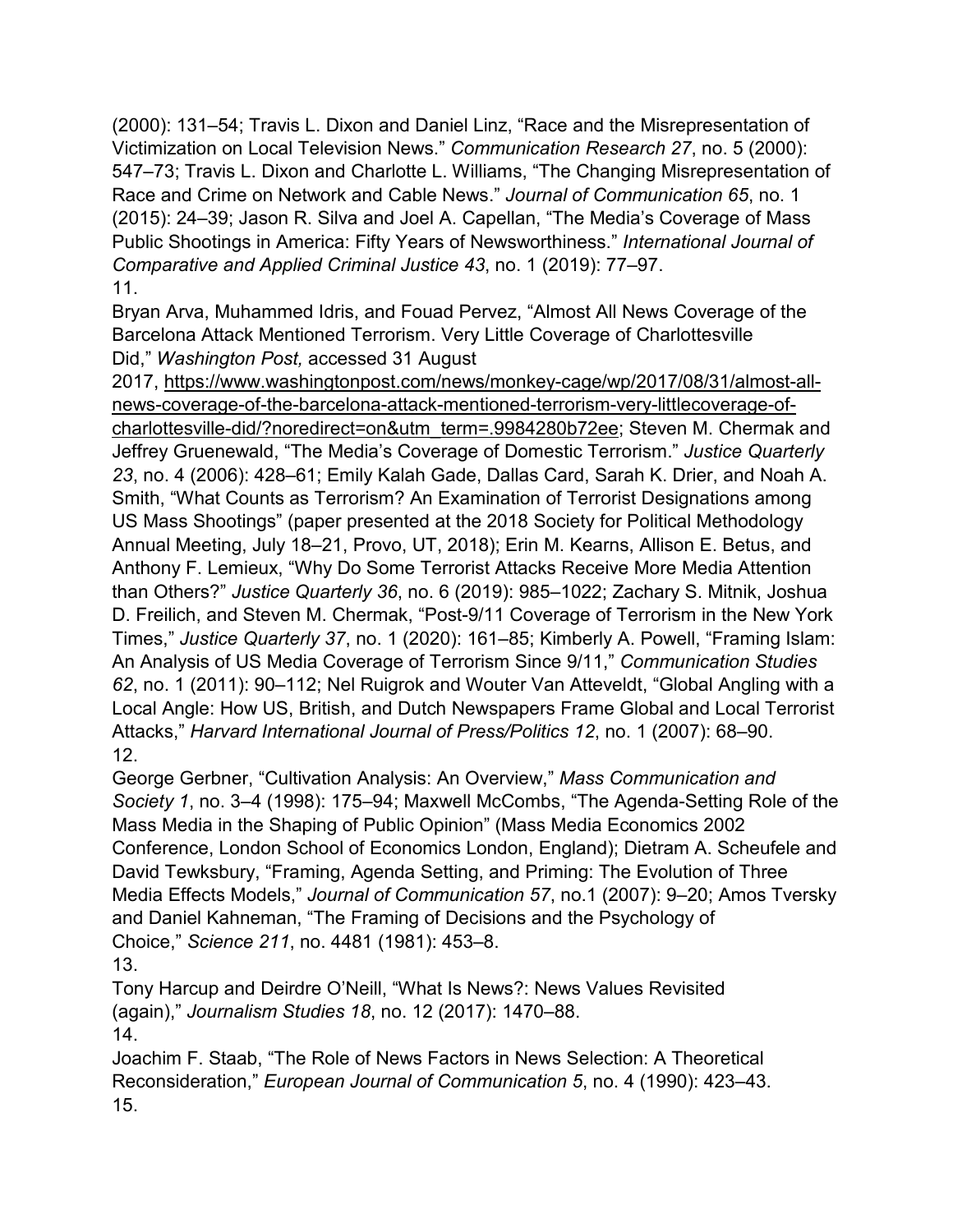(2000): 131–54; Travis L. Dixon and Daniel Linz, "Race and the Misrepresentation of Victimization on Local Television News." *Communication Research 27*, no. 5 (2000): 547–73; Travis L. Dixon and Charlotte L. Williams, "The Changing Misrepresentation of Race and Crime on Network and Cable News." *Journal of Communication 65*, no. 1 (2015): 24–39; Jason R. Silva and Joel A. Capellan, "The Media's Coverage of Mass Public Shootings in America: Fifty Years of Newsworthiness." *International Journal of Comparative and Applied Criminal Justice 43*, no. 1 (2019): 77–97. 11.

Bryan Arva, Muhammed Idris, and Fouad Pervez, "Almost All News Coverage of the Barcelona Attack Mentioned Terrorism. Very Little Coverage of Charlottesville Did," *Washington Post,* accessed 31 August

2017, [https://www.washingtonpost.com/news/monkey-cage/wp/2017/08/31/almost-all](https://www.washingtonpost.com/news/monkey-cage/wp/2017/08/31/almost-all-news-coverage-of-the-barcelona-attack-mentioned-terrorism-very-littlecoverage-of-charlottesville-did/?noredirect=on&utm_term=.9984280b72ee)[news-coverage-of-the-barcelona-attack-mentioned-terrorism-very-littlecoverage-of](https://www.washingtonpost.com/news/monkey-cage/wp/2017/08/31/almost-all-news-coverage-of-the-barcelona-attack-mentioned-terrorism-very-littlecoverage-of-charlottesville-did/?noredirect=on&utm_term=.9984280b72ee)charlottesville-[did/?noredirect=on&utm\\_term=.9984280b72ee](https://www.washingtonpost.com/news/monkey-cage/wp/2017/08/31/almost-all-news-coverage-of-the-barcelona-attack-mentioned-terrorism-very-littlecoverage-of-charlottesville-did/?noredirect=on&utm_term=.9984280b72ee); Steven M. Chermak and Jeffrey Gruenewald, "The Media's Coverage of Domestic Terrorism." *Justice Quarterly 23*, no. 4 (2006): 428–61; Emily Kalah Gade, Dallas Card, Sarah K. Drier, and Noah A. Smith, "What Counts as Terrorism? An Examination of Terrorist Designations among US Mass Shootings" (paper presented at the 2018 Society for Political Methodology Annual Meeting, July 18–21, Provo, UT, 2018); Erin M. Kearns, Allison E. Betus, and Anthony F. Lemieux, "Why Do Some Terrorist Attacks Receive More Media Attention than Others?" *Justice Quarterly 36*, no. 6 (2019): 985–1022; Zachary S. Mitnik, Joshua D. Freilich, and Steven M. Chermak, "Post-9/11 Coverage of Terrorism in the New York Times," *Justice Quarterly 37*, no. 1 (2020): 161–85; Kimberly A. Powell, "Framing Islam: An Analysis of US Media Coverage of Terrorism Since 9/11," *Communication Studies 62*, no. 1 (2011): 90–112; Nel Ruigrok and Wouter Van Atteveldt, "Global Angling with a Local Angle: How US, British, and Dutch Newspapers Frame Global and Local Terrorist Attacks," *Harvard International Journal of Press/Politics 12*, no. 1 (2007): 68–90. 12.

George Gerbner, "Cultivation Analysis: An Overview," *Mass Communication and Society 1*, no. 3–4 (1998): 175–94; Maxwell McCombs, "The Agenda-Setting Role of the Mass Media in the Shaping of Public Opinion" (Mass Media Economics 2002 Conference, London School of Economics London, England); Dietram A. Scheufele and David Tewksbury, "Framing, Agenda Setting, and Priming: The Evolution of Three Media Effects Models," *Journal of Communication 57*, no.1 (2007): 9–20; Amos Tversky and Daniel Kahneman, "The Framing of Decisions and the Psychology of Choice," *Science 211*, no. 4481 (1981): 453–8.

13.

Tony Harcup and Deirdre O'Neill, "What Is News?: News Values Revisited (again)," *Journalism Studies 18*, no. 12 (2017): 1470–88. 14.

Joachim F. Staab, "The Role of News Factors in News Selection: A Theoretical Reconsideration," *European Journal of Communication 5*, no. 4 (1990): 423–43. 15.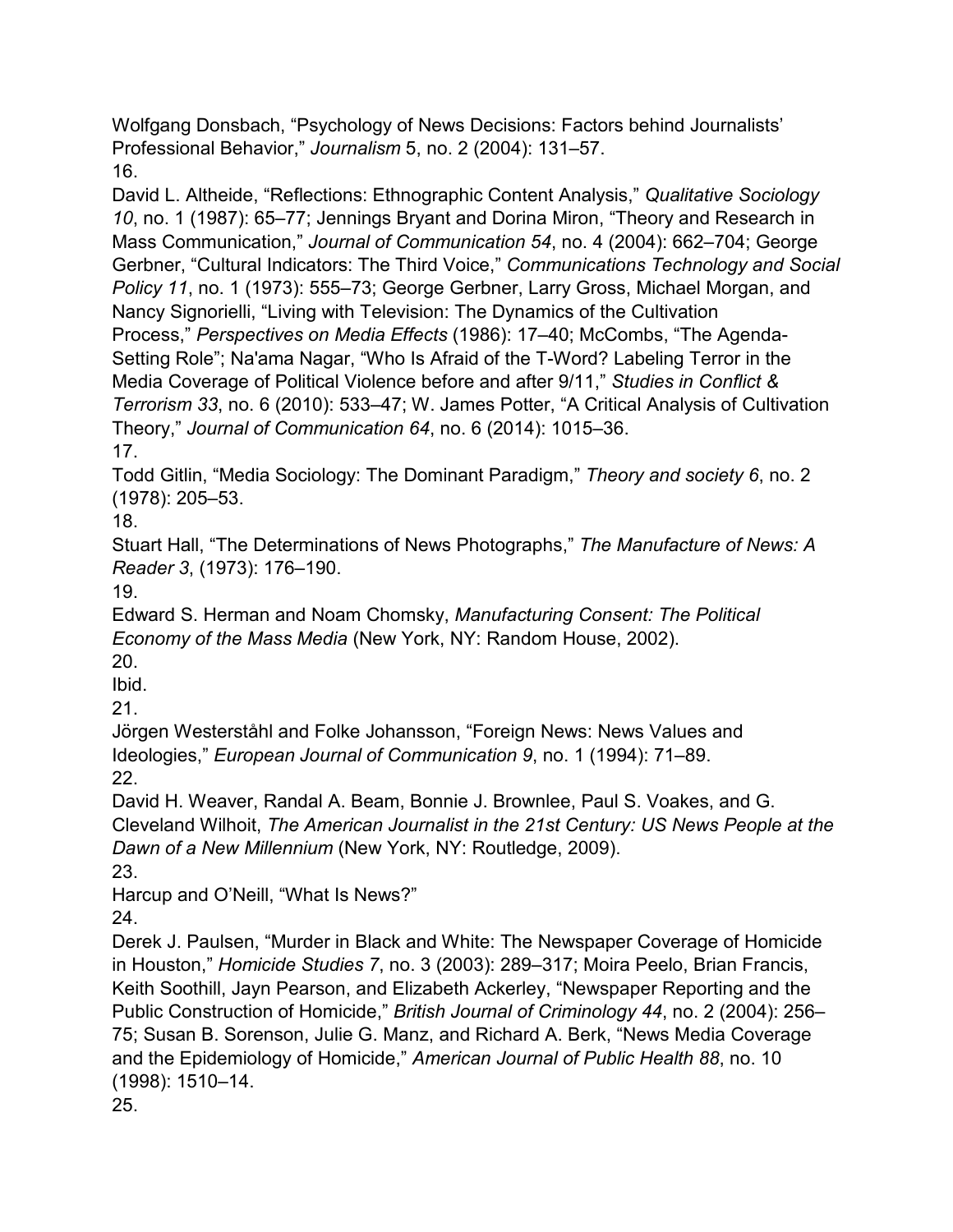Wolfgang Donsbach, "Psychology of News Decisions: Factors behind Journalists' Professional Behavior," *Journalism* 5, no. 2 (2004): 131–57. 16.

David L. Altheide, "Reflections: Ethnographic Content Analysis," *Qualitative Sociology 10*, no. 1 (1987): 65–77; Jennings Bryant and Dorina Miron, "Theory and Research in Mass Communication," *Journal of Communication 54*, no. 4 (2004): 662–704; George Gerbner, "Cultural Indicators: The Third Voice," *Communications Technology and Social Policy 11*, no. 1 (1973): 555–73; George Gerbner, Larry Gross, Michael Morgan, and Nancy Signorielli, "Living with Television: The Dynamics of the Cultivation Process," *Perspectives on Media Effects* (1986): 17–40; McCombs, "The Agenda-Setting Role"; Na'ama Nagar, "Who Is Afraid of the T-Word? Labeling Terror in the Media Coverage of Political Violence before and after 9/11," *Studies in Conflict & Terrorism 33*, no. 6 (2010): 533–47; W. James Potter, "A Critical Analysis of Cultivation Theory," *Journal of Communication 64*, no. 6 (2014): 1015–36. 17.

Todd Gitlin, "Media Sociology: The Dominant Paradigm," *Theory and society 6*, no. 2 (1978): 205–53.

18.

Stuart Hall, "The Determinations of News Photographs," *The Manufacture of News: A Reader 3*, (1973): 176–190.

19.

Edward S. Herman and Noam Chomsky, *Manufacturing Consent: The Political Economy of the Mass Media* (New York, NY: Random House, 2002). 20.

Ibid.

21.

Jörgen Westerståhl and Folke Johansson, "Foreign News: News Values and Ideologies," *European Journal of Communication 9*, no. 1 (1994): 71–89. 22.

David H. Weaver, Randal A. Beam, Bonnie J. Brownlee, Paul S. Voakes, and G. Cleveland Wilhoit, *The American Journalist in the 21st Century: US News People at the Dawn of a New Millennium* (New York, NY: Routledge, 2009).

23.

Harcup and O'Neill, "What Is News?"

24.

Derek J. Paulsen, "Murder in Black and White: The Newspaper Coverage of Homicide in Houston," *Homicide Studies 7*, no. 3 (2003): 289–317; Moira Peelo, Brian Francis, Keith Soothill, Jayn Pearson, and Elizabeth Ackerley, "Newspaper Reporting and the Public Construction of Homicide," *British Journal of Criminology 44*, no. 2 (2004): 256– 75; Susan B. Sorenson, Julie G. Manz, and Richard A. Berk, "News Media Coverage and the Epidemiology of Homicide," *American Journal of Public Health 88*, no. 10 (1998): 1510–14. 25.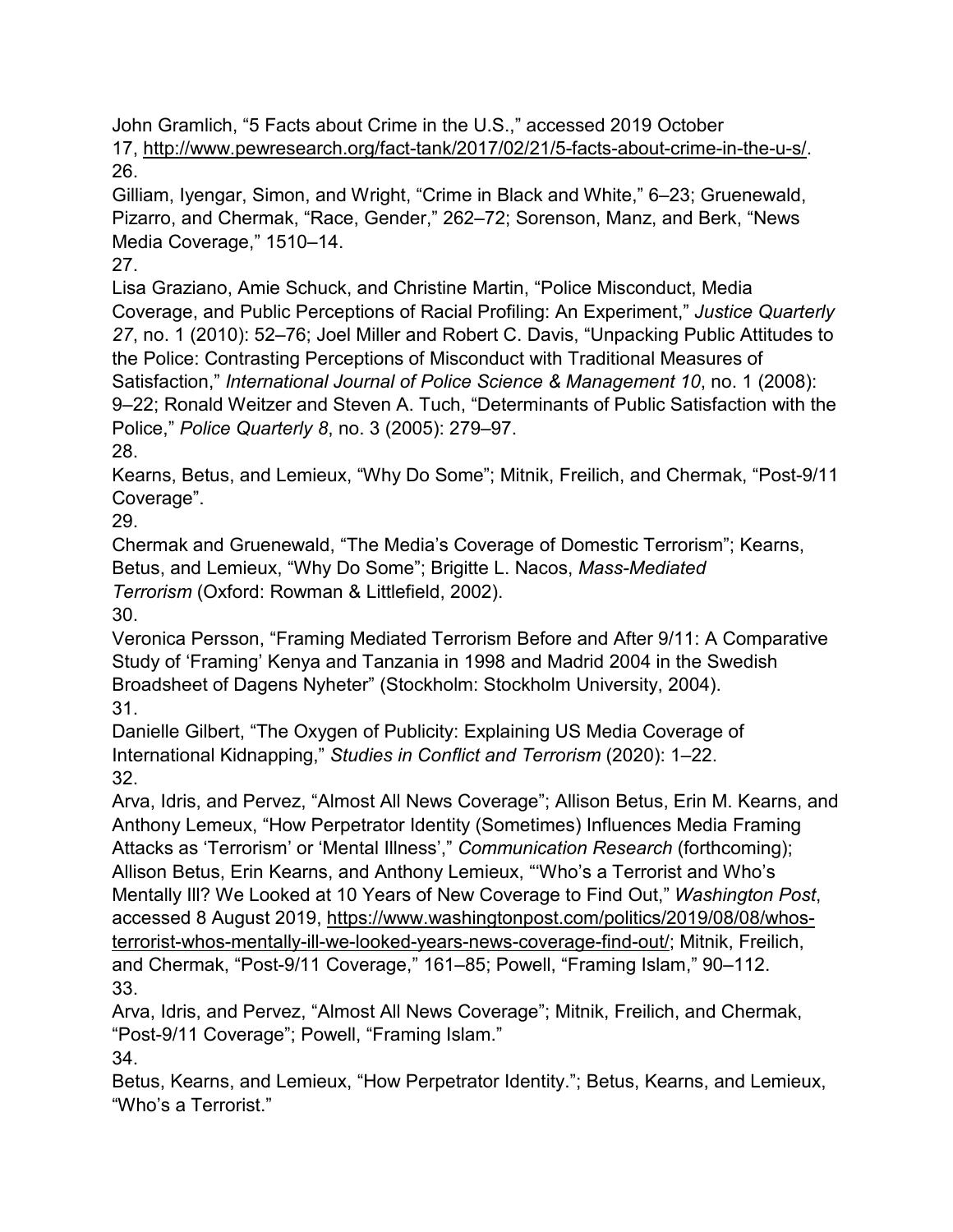John Gramlich, "5 Facts about Crime in the U.S.," accessed 2019 October 17, [http://www.pewresearch.org/fact-tank/2017/02/21/5-facts-about-crime-in-the-u-s/.](http://www.pewresearch.org/fact-tank/2017/02/21/5-facts-about-crime-in-the-u-s/) 26.

Gilliam, Iyengar, Simon, and Wright, "Crime in Black and White," 6–23; Gruenewald, Pizarro, and Chermak, "Race, Gender," 262–72; Sorenson, Manz, and Berk, "News Media Coverage," 1510–14.

27.

Lisa Graziano, Amie Schuck, and Christine Martin, "Police Misconduct, Media Coverage, and Public Perceptions of Racial Profiling: An Experiment," *Justice Quarterly 27*, no. 1 (2010): 52–76; Joel Miller and Robert C. Davis, "Unpacking Public Attitudes to the Police: Contrasting Perceptions of Misconduct with Traditional Measures of Satisfaction," *International Journal of Police Science & Management 10*, no. 1 (2008): 9–22; Ronald Weitzer and Steven A. Tuch, "Determinants of Public Satisfaction with the Police," *Police Quarterly 8*, no. 3 (2005): 279–97.

28.

Kearns, Betus, and Lemieux, "Why Do Some"; Mitnik, Freilich, and Chermak, "Post-9/11 Coverage".

29.

Chermak and Gruenewald, "The Media's Coverage of Domestic Terrorism"; Kearns, Betus, and Lemieux, "Why Do Some"; Brigitte L. Nacos, *Mass-Mediated Terrorism* (Oxford: Rowman & Littlefield, 2002).

30.

Veronica Persson, "Framing Mediated Terrorism Before and After 9/11: A Comparative Study of 'Framing' Kenya and Tanzania in 1998 and Madrid 2004 in the Swedish Broadsheet of Dagens Nyheter" (Stockholm: Stockholm University, 2004). 31.

Danielle Gilbert, "The Oxygen of Publicity: Explaining US Media Coverage of International Kidnapping," *Studies in Conflict and Terrorism* (2020): 1–22. 32.

Arva, Idris, and Pervez, "Almost All News Coverage"; Allison Betus, Erin M. Kearns, and Anthony Lemeux, "How Perpetrator Identity (Sometimes) Influences Media Framing Attacks as 'Terrorism' or 'Mental Illness'," *Communication Research* (forthcoming); Allison Betus, Erin Kearns, and Anthony Lemieux, "'Who's a Terrorist and Who's Mentally Ill? We Looked at 10 Years of New Coverage to Find Out," *Washington Post*, accessed 8 August 2019, [https://www.washingtonpost.com/politics/2019/08/08/whos](https://www.washingtonpost.com/politics/2019/08/08/whos-terrorist-whos-mentally-ill-we-looked-years-news-coverage-find-out/)[terrorist-whos-mentally-ill-we-looked-years-news-coverage-find-out/;](https://www.washingtonpost.com/politics/2019/08/08/whos-terrorist-whos-mentally-ill-we-looked-years-news-coverage-find-out/) Mitnik, Freilich, and Chermak, "Post-9/11 Coverage," 161–85; Powell, "Framing Islam," 90–112. 33.

Arva, Idris, and Pervez, "Almost All News Coverage"; Mitnik, Freilich, and Chermak, "Post-9/11 Coverage"; Powell, "Framing Islam." 34.

Betus, Kearns, and Lemieux, "How Perpetrator Identity."; Betus, Kearns, and Lemieux, "Who's a Terrorist."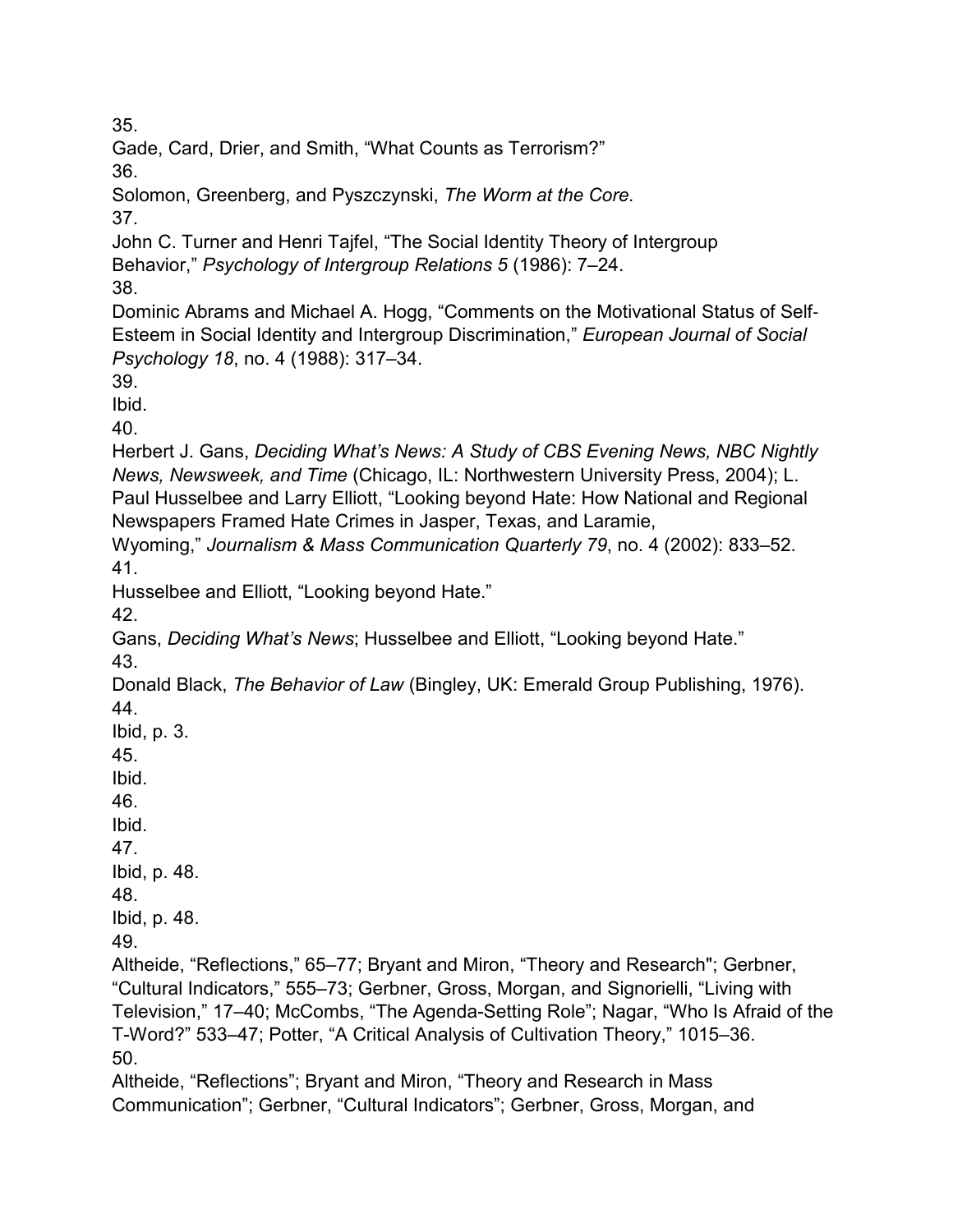35.

Gade, Card, Drier, and Smith, "What Counts as Terrorism?"

36.

Solomon, Greenberg, and Pyszczynski, *The Worm at the Core.*

37.

John C. Turner and Henri Tajfel, "The Social Identity Theory of Intergroup Behavior," *Psychology of Intergroup Relations 5* (1986): 7–24.

38.

Dominic Abrams and Michael A. Hogg, "Comments on the Motivational Status of Self‐ Esteem in Social Identity and Intergroup Discrimination," *European Journal of Social Psychology 18*, no. 4 (1988): 317–34.

39.

Ibid.

40.

Herbert J. Gans, *Deciding What's News: A Study of CBS Evening News, NBC Nightly News, Newsweek, and Time* (Chicago, IL: Northwestern University Press, 2004); L. Paul Husselbee and Larry Elliott, "Looking beyond Hate: How National and Regional Newspapers Framed Hate Crimes in Jasper, Texas, and Laramie,

Wyoming," *Journalism & Mass Communication Quarterly 79*, no. 4 (2002): 833–52. 41.

Husselbee and Elliott, "Looking beyond Hate."

42.

Gans, *Deciding What's News*; Husselbee and Elliott, "Looking beyond Hate."

43.

Donald Black, *The Behavior of Law* (Bingley, UK: Emerald Group Publishing, 1976). 44.

Ibid, p. 3.

45.

Ibid.

46.

Ibid.

47.

Ibid, p. 48. 48.

Ibid, p. 48.

49.

Altheide, "Reflections," 65–77; Bryant and Miron, "Theory and Research"; Gerbner, "Cultural Indicators," 555–73; Gerbner, Gross, Morgan, and Signorielli, "Living with Television," 17–40; McCombs, "The Agenda-Setting Role"; Nagar, "Who Is Afraid of the T-Word?" 533–47; Potter, "A Critical Analysis of Cultivation Theory," 1015–36. 50.

Altheide, "Reflections"; Bryant and Miron, "Theory and Research in Mass Communication"; Gerbner, "Cultural Indicators"; Gerbner, Gross, Morgan, and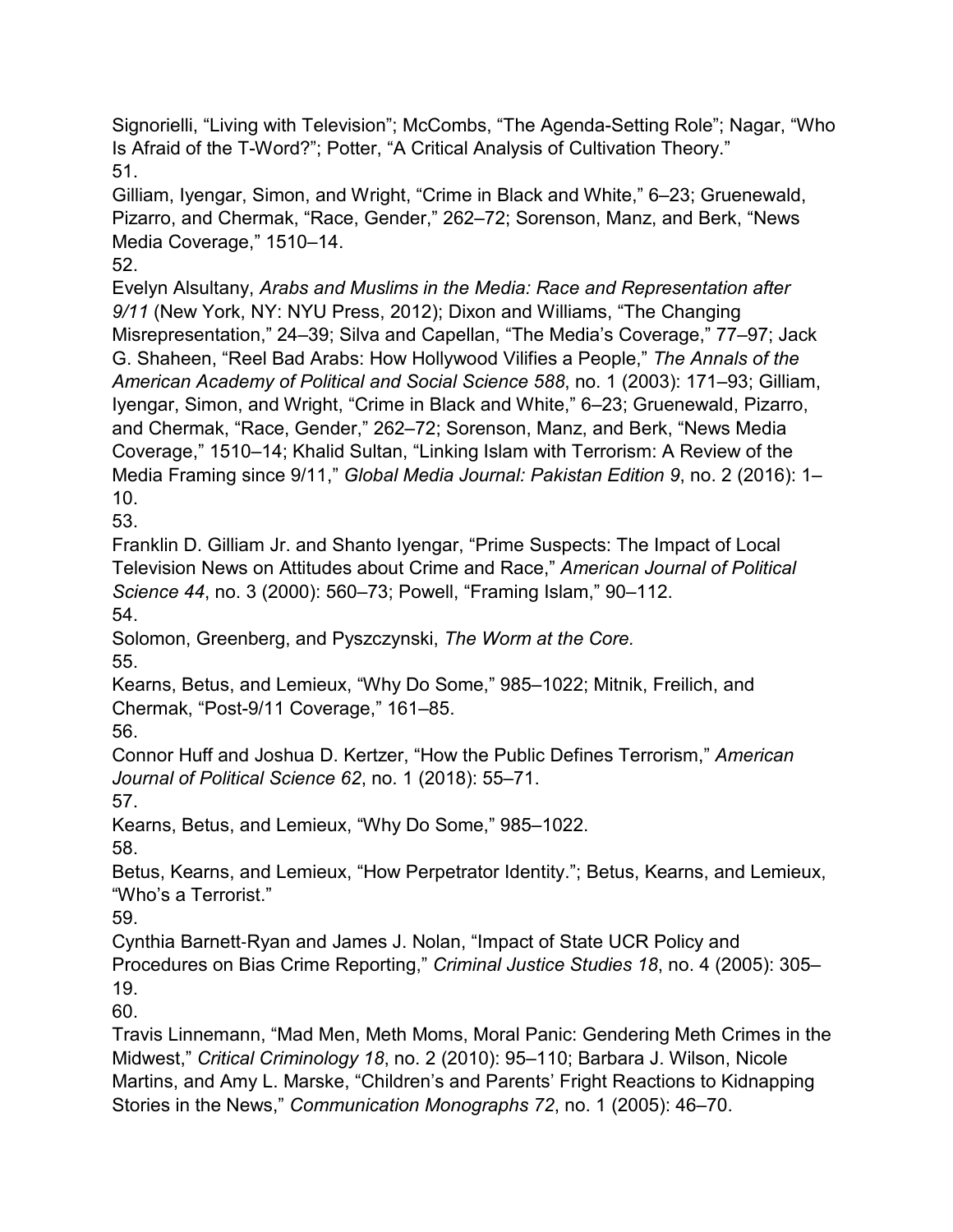Signorielli, "Living with Television"; McCombs, "The Agenda-Setting Role"; Nagar, "Who Is Afraid of the T-Word?"; Potter, "A Critical Analysis of Cultivation Theory." 51.

Gilliam, Iyengar, Simon, and Wright, "Crime in Black and White," 6–23; Gruenewald, Pizarro, and Chermak, "Race, Gender," 262–72; Sorenson, Manz, and Berk, "News Media Coverage," 1510–14.

52.

Evelyn Alsultany, *Arabs and Muslims in the Media: Race and Representation after 9/11* (New York, NY: NYU Press, 2012); Dixon and Williams, "The Changing Misrepresentation," 24–39; Silva and Capellan, "The Media's Coverage," 77–97; Jack G. Shaheen, "Reel Bad Arabs: How Hollywood Vilifies a People," *The Annals of the American Academy of Political and Social Science 588*, no. 1 (2003): 171–93; Gilliam, Iyengar, Simon, and Wright, "Crime in Black and White," 6–23; Gruenewald, Pizarro, and Chermak, "Race, Gender," 262–72; Sorenson, Manz, and Berk, "News Media Coverage," 1510–14; Khalid Sultan, "Linking Islam with Terrorism: A Review of the Media Framing since 9/11," *Global Media Journal: Pakistan Edition 9*, no. 2 (2016): 1– 10.

53.

Franklin D. Gilliam Jr. and Shanto Iyengar, "Prime Suspects: The Impact of Local Television News on Attitudes about Crime and Race," *American Journal of Political Science 44*, no. 3 (2000): 560–73; Powell, "Framing Islam," 90–112. 54.

Solomon, Greenberg, and Pyszczynski, *The Worm at the Core.* 55.

Kearns, Betus, and Lemieux, "Why Do Some," 985–1022; Mitnik, Freilich, and Chermak, "Post-9/11 Coverage," 161–85.

56.

Connor Huff and Joshua D. Kertzer, "How the Public Defines Terrorism," *American Journal of Political Science 62*, no. 1 (2018): 55–71.

57.

Kearns, Betus, and Lemieux, "Why Do Some," 985–1022.

58.

Betus, Kearns, and Lemieux, "How Perpetrator Identity."; Betus, Kearns, and Lemieux, "Who's a Terrorist."

59.

Cynthia Barnett‐Ryan and James J. Nolan, "Impact of State UCR Policy and Procedures on Bias Crime Reporting," *Criminal Justice Studies 18*, no. 4 (2005): 305– 19.

60.

Travis Linnemann, "Mad Men, Meth Moms, Moral Panic: Gendering Meth Crimes in the Midwest," *Critical Criminology 18*, no. 2 (2010): 95–110; Barbara J. Wilson, Nicole Martins, and Amy L. Marske, "Children's and Parents' Fright Reactions to Kidnapping Stories in the News," *Communication Monographs 72*, no. 1 (2005): 46–70.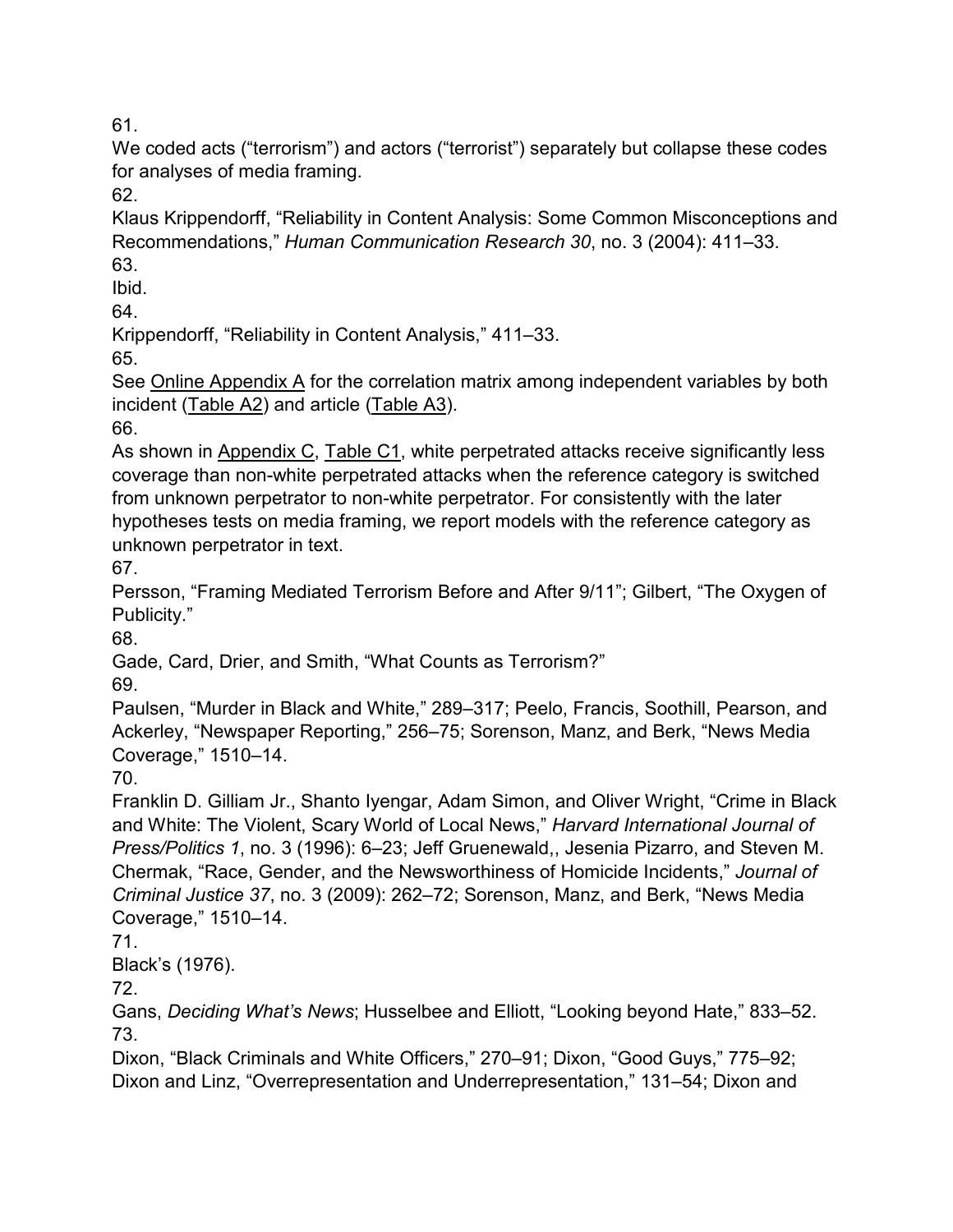61.

We coded acts ("terrorism") and actors ("terrorist") separately but collapse these codes for analyses of media framing.

62.

Klaus Krippendorff, "Reliability in Content Analysis: Some Common Misconceptions and Recommendations," *Human Communication Research 30*, no. 3 (2004): 411–33. 63.

Ibid.

64.

Krippendorff, "Reliability in Content Analysis," 411–33.

65.

See [Online Appendix A](https://doi.org/10.1080/1057610X.2020.1830573) for the correlation matrix among independent variables by both incident [\(Table A2\)](https://doi.org/10.1080/1057610X.2020.1830573) and article [\(Table A3\)](https://doi.org/10.1080/1057610X.2020.1830573).

66.

As shown in [Appendix C, Table C1,](https://doi.org/10.1080/1057610X.2020.1830573) white perpetrated attacks receive significantly less coverage than non-white perpetrated attacks when the reference category is switched from unknown perpetrator to non-white perpetrator. For consistently with the later hypotheses tests on media framing, we report models with the reference category as unknown perpetrator in text.

67.

Persson, "Framing Mediated Terrorism Before and After 9/11"; Gilbert, "The Oxygen of Publicity."

68.

Gade, Card, Drier, and Smith, "What Counts as Terrorism?"

69.

Paulsen, "Murder in Black and White," 289–317; Peelo, Francis, Soothill, Pearson, and Ackerley, "Newspaper Reporting," 256–75; Sorenson, Manz, and Berk, "News Media Coverage," 1510–14.

70.

Franklin D. Gilliam Jr., Shanto Iyengar, Adam Simon, and Oliver Wright, "Crime in Black and White: The Violent, Scary World of Local News," *Harvard International Journal of Press/Politics 1*, no. 3 (1996): 6–23; Jeff Gruenewald,, Jesenia Pizarro, and Steven M. Chermak, "Race, Gender, and the Newsworthiness of Homicide Incidents," *Journal of Criminal Justice 37*, no. 3 (2009): 262–72; Sorenson, Manz, and Berk, "News Media Coverage," 1510–14.

71.

Black's (1976).

72.

Gans, *Deciding What's News*; Husselbee and Elliott, "Looking beyond Hate," 833–52. 73.

Dixon, "Black Criminals and White Officers," 270–91; Dixon, "Good Guys," 775–92; Dixon and Linz, "Overrepresentation and Underrepresentation," 131–54; Dixon and